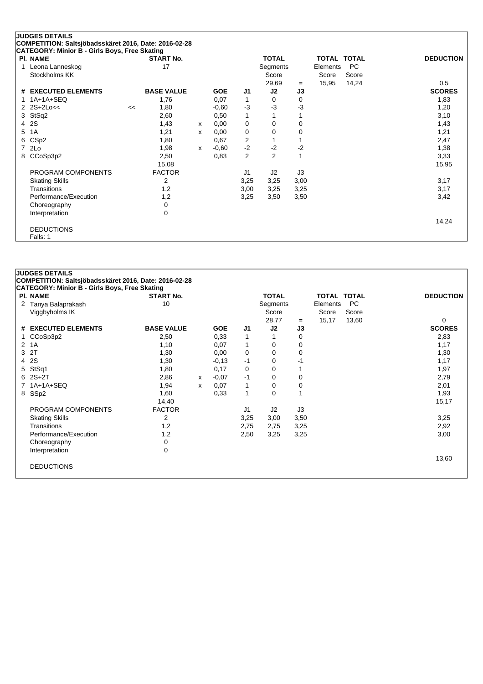|   | <b>JUDGES DETAILS</b><br>COMPETITION: Saltsjöbadsskäret 2016, Date: 2016-02-28 |    |                   |   |            |      |                |      |                    |       |                  |
|---|--------------------------------------------------------------------------------|----|-------------------|---|------------|------|----------------|------|--------------------|-------|------------------|
|   | CATEGORY: Minior B - Girls Boys, Free Skating                                  |    |                   |   |            |      |                |      |                    |       |                  |
|   | PI. NAME                                                                       |    | <b>START No.</b>  |   |            |      | <b>TOTAL</b>   |      | <b>TOTAL TOTAL</b> |       | <b>DEDUCTION</b> |
|   | Leona Lanneskog                                                                |    | 17                |   |            |      | Segments       |      | Elements           | PC    |                  |
|   | Stockholms KK                                                                  |    |                   |   |            |      | Score          |      | Score              | Score |                  |
|   |                                                                                |    |                   |   |            |      | 29,69          | $=$  | 15,95              | 14,24 | 0,5              |
|   | # EXECUTED ELEMENTS                                                            |    | <b>BASE VALUE</b> |   | <b>GOE</b> | J1   | J2             | J3   |                    |       | <b>SCORES</b>    |
|   | $1A+1A+SEQ$                                                                    |    | 1,76              |   | 0,07       | 1    | 0              | 0    |                    |       | 1,83             |
|   | $2$ $2S+2Lo<<$                                                                 | << | 1,80              |   | $-0,60$    | $-3$ | $-3$           | $-3$ |                    |       | 1,20             |
| 3 | StSq2                                                                          |    | 2,60              |   | 0,50       | 1    |                |      |                    |       | 3,10             |
| 4 | 2S                                                                             |    | 1,43              | X | 0,00       | 0    | 0              | 0    |                    |       | 1,43             |
| 5 | 1A                                                                             |    | 1,21              | x | 0,00       | 0    | 0              | 0    |                    |       | 1,21             |
| 6 | CSp <sub>2</sub>                                                               |    | 1,80              |   | 0,67       | 2    |                |      |                    |       | 2,47             |
|   | 2Lo                                                                            |    | 1,98              | x | $-0,60$    | $-2$ | $-2$           | $-2$ |                    |       | 1,38             |
| 8 | CCoSp3p2                                                                       |    | 2,50              |   | 0,83       | 2    | $\overline{2}$ | 1    |                    |       | 3,33             |
|   |                                                                                |    | 15,08             |   |            |      |                |      |                    |       | 15,95            |
|   | PROGRAM COMPONENTS                                                             |    | <b>FACTOR</b>     |   |            | J1   | J2             | J3   |                    |       |                  |
|   | <b>Skating Skills</b>                                                          |    | 2                 |   |            | 3,25 | 3,25           | 3,00 |                    |       | 3,17             |
|   | Transitions                                                                    |    | 1,2               |   |            | 3,00 | 3,25           | 3,25 |                    |       | 3,17             |
|   | Performance/Execution                                                          |    | 1,2               |   |            | 3,25 | 3,50           | 3,50 |                    |       | 3,42             |
|   | Choreography                                                                   |    | 0                 |   |            |      |                |      |                    |       |                  |
|   | Interpretation                                                                 |    | 0                 |   |            |      |                |      |                    |       |                  |
|   |                                                                                |    |                   |   |            |      |                |      |                    |       | 14,24            |
|   | <b>DEDUCTIONS</b>                                                              |    |                   |   |            |      |                |      |                    |       |                  |
|   | Falls: 1                                                                       |    |                   |   |            |      |                |      |                    |       |                  |

|             |                                                                                                                                                                                                                                                                                                           |                                                                                                                     |                                                       |                            |                          |                                                  |         |                | <b>DEDUCTION</b>                                              |
|-------------|-----------------------------------------------------------------------------------------------------------------------------------------------------------------------------------------------------------------------------------------------------------------------------------------------------------|---------------------------------------------------------------------------------------------------------------------|-------------------------------------------------------|----------------------------|--------------------------|--------------------------------------------------|---------|----------------|---------------------------------------------------------------|
|             |                                                                                                                                                                                                                                                                                                           |                                                                                                                     |                                                       |                            |                          |                                                  |         |                |                                                               |
|             |                                                                                                                                                                                                                                                                                                           |                                                                                                                     |                                                       |                            |                          |                                                  |         |                |                                                               |
|             |                                                                                                                                                                                                                                                                                                           |                                                                                                                     |                                                       |                            |                          | $=$                                              |         |                | 0                                                             |
|             |                                                                                                                                                                                                                                                                                                           |                                                                                                                     |                                                       |                            |                          |                                                  |         |                | <b>SCORES</b>                                                 |
|             |                                                                                                                                                                                                                                                                                                           |                                                                                                                     |                                                       |                            |                          |                                                  |         |                | 2,83                                                          |
|             |                                                                                                                                                                                                                                                                                                           |                                                                                                                     |                                                       |                            | 0                        | 0                                                |         |                | 1,17                                                          |
|             | 1,30                                                                                                                                                                                                                                                                                                      |                                                                                                                     | 0,00                                                  | 0                          | 0                        | 0                                                |         |                | 1,30                                                          |
|             | 1,30                                                                                                                                                                                                                                                                                                      |                                                                                                                     | $-0,13$                                               | $-1$                       | 0                        | -1                                               |         |                | 1,17                                                          |
|             | 1,80                                                                                                                                                                                                                                                                                                      |                                                                                                                     | 0,17                                                  | 0                          | 0                        |                                                  |         |                | 1,97                                                          |
|             | 2,86                                                                                                                                                                                                                                                                                                      | X                                                                                                                   | $-0.07$                                               | -1                         | 0                        | 0                                                |         |                | 2,79                                                          |
|             | 1,94                                                                                                                                                                                                                                                                                                      | X                                                                                                                   | 0,07                                                  | 1                          | 0                        | 0                                                |         |                | 2,01                                                          |
|             | 1,60                                                                                                                                                                                                                                                                                                      |                                                                                                                     | 0,33                                                  | 1                          | $\Omega$                 |                                                  |         |                | 1,93                                                          |
|             | 14,40                                                                                                                                                                                                                                                                                                     |                                                                                                                     |                                                       |                            |                          |                                                  |         |                | 15,17                                                         |
|             | <b>FACTOR</b>                                                                                                                                                                                                                                                                                             |                                                                                                                     |                                                       | J <sub>1</sub>             | J2                       | J3                                               |         |                |                                                               |
|             | $\overline{2}$                                                                                                                                                                                                                                                                                            |                                                                                                                     |                                                       | 3,25                       | 3,00                     | 3,50                                             |         |                | 3,25                                                          |
| Transitions | 1,2                                                                                                                                                                                                                                                                                                       |                                                                                                                     |                                                       | 2,75                       | 2,75                     | 3,25                                             |         |                | 2,92                                                          |
|             | 1,2                                                                                                                                                                                                                                                                                                       |                                                                                                                     |                                                       | 2,50                       | 3,25                     | 3,25                                             |         |                | 3,00                                                          |
|             | 0                                                                                                                                                                                                                                                                                                         |                                                                                                                     |                                                       |                            |                          |                                                  |         |                |                                                               |
|             | 0                                                                                                                                                                                                                                                                                                         |                                                                                                                     |                                                       |                            |                          |                                                  |         |                |                                                               |
|             |                                                                                                                                                                                                                                                                                                           |                                                                                                                     |                                                       |                            |                          |                                                  |         |                | 13,60                                                         |
|             |                                                                                                                                                                                                                                                                                                           |                                                                                                                     |                                                       |                            |                          |                                                  |         |                |                                                               |
|             |                                                                                                                                                                                                                                                                                                           |                                                                                                                     |                                                       |                            |                          |                                                  |         |                |                                                               |
|             | <b>JUDGES DETAILS</b><br>PI. NAME<br>Tanya Balaprakash<br>Viggbyholms IK<br># EXECUTED ELEMENTS<br>CCoSp3p2<br>2 1A<br>3 2T<br>2S<br>StSq1<br>$2S+2T$<br>1A+1A+SEQ<br>SSp2<br>PROGRAM COMPONENTS<br><b>Skating Skills</b><br>Performance/Execution<br>Choreography<br>Interpretation<br><b>DEDUCTIONS</b> | <b>CATEGORY: Minior B - Girls Boys, Free Skating</b><br><b>START No.</b><br>10<br><b>BASE VALUE</b><br>2,50<br>1,10 | COMPETITION: Saltsjöbadsskäret 2016, Date: 2016-02-28 | <b>GOE</b><br>0,33<br>0,07 | J <sub>1</sub><br>1<br>1 | <b>TOTAL</b><br>Segments<br>Score<br>28,77<br>J2 | J3<br>0 | Score<br>15,17 | <b>TOTAL TOTAL</b><br><b>PC</b><br>Elements<br>Score<br>13,60 |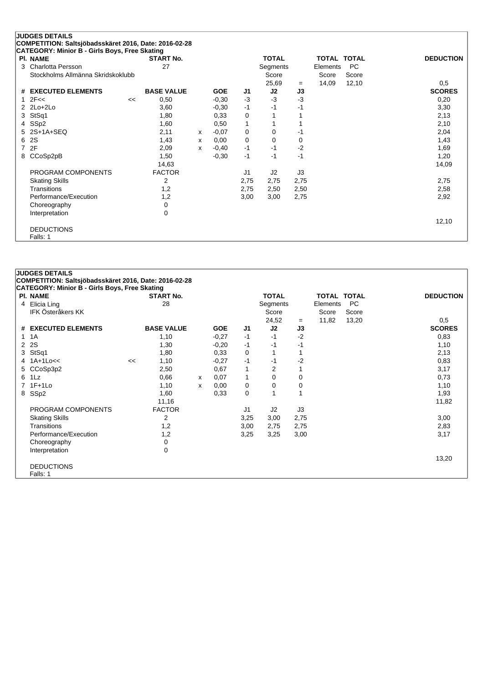|   | <b>JUDGES DETAILS</b><br>COMPETITION: Saltsjöbadsskäret 2016, Date: 2016-02-28 |    |                   |   |            |                |              |      |                    |           |                  |
|---|--------------------------------------------------------------------------------|----|-------------------|---|------------|----------------|--------------|------|--------------------|-----------|------------------|
|   | <b>CATEGORY: Minior B - Girls Boys, Free Skating</b>                           |    |                   |   |            |                |              |      |                    |           |                  |
|   | <b>PI. NAME</b>                                                                |    | <b>START No.</b>  |   |            |                | <b>TOTAL</b> |      | <b>TOTAL TOTAL</b> |           | <b>DEDUCTION</b> |
| 3 | <b>Charlotta Persson</b>                                                       |    | 27                |   |            |                | Segments     |      | Elements           | <b>PC</b> |                  |
|   | Stockholms Allmänna Skridskoklubb                                              |    |                   |   |            |                | Score        |      | Score              | Score     |                  |
|   |                                                                                |    |                   |   |            |                | 25,69        | $=$  | 14,09              | 12,10     | 0,5              |
| # | <b>EXECUTED ELEMENTS</b>                                                       |    | <b>BASE VALUE</b> |   | <b>GOE</b> | J1             | J2           | J3   |                    |           | <b>SCORES</b>    |
|   | 2F<<                                                                           | << | 0,50              |   | $-0,30$    | $-3$           | $-3$         | $-3$ |                    |           | 0,20             |
|   | $2$ $2$ $Lo+2$ $Lo+2$                                                          |    | 3,60              |   | $-0,30$    | $-1$           | -1           | $-1$ |                    |           | 3,30             |
| 3 | StSq1                                                                          |    | 1,80              |   | 0,33       | 0              |              |      |                    |           | 2,13             |
| 4 | SSp2                                                                           |    | 1,60              |   | 0,50       | 1              |              |      |                    |           | 2,10             |
| 5 | 2S+1A+SEQ                                                                      |    | 2,11              | X | $-0.07$    | $\mathbf 0$    | 0            | -1   |                    |           | 2,04             |
| 6 | 2S                                                                             |    | 1,43              | x | 0,00       | $\mathbf 0$    | $\Omega$     | 0    |                    |           | 1,43             |
| 7 | 2F                                                                             |    | 2,09              | x | $-0,40$    | $-1$           | $-1$         | $-2$ |                    |           | 1,69             |
| 8 | CCoSp2pB                                                                       |    | 1,50              |   | $-0,30$    | $-1$           | $-1$         | $-1$ |                    |           | 1,20             |
|   |                                                                                |    | 14,63             |   |            |                |              |      |                    |           | 14,09            |
|   | PROGRAM COMPONENTS                                                             |    | <b>FACTOR</b>     |   |            | J <sub>1</sub> | J2           | J3   |                    |           |                  |
|   | <b>Skating Skills</b>                                                          |    | 2                 |   |            | 2,75           | 2,75         | 2,75 |                    |           | 2,75             |
|   | Transitions                                                                    |    | 1,2               |   |            | 2,75           | 2,50         | 2,50 |                    |           | 2,58             |
|   | Performance/Execution                                                          |    | 1,2               |   |            | 3,00           | 3,00         | 2,75 |                    |           | 2,92             |
|   | Choreography                                                                   |    | 0                 |   |            |                |              |      |                    |           |                  |
|   | Interpretation                                                                 |    | 0                 |   |            |                |              |      |                    |           |                  |
|   |                                                                                |    |                   |   |            |                |              |      |                    |           | 12,10            |
|   | <b>DEDUCTIONS</b>                                                              |    |                   |   |            |                |              |      |                    |           |                  |
|   | Falls: 1                                                                       |    |                   |   |            |                |              |      |                    |           |                  |

|                      | <b>JUDGES DETAILS</b>                                 |    |                   |   |            |                |                |             |                    |           |                  |
|----------------------|-------------------------------------------------------|----|-------------------|---|------------|----------------|----------------|-------------|--------------------|-----------|------------------|
|                      | COMPETITION: Saltsjöbadsskäret 2016, Date: 2016-02-28 |    |                   |   |            |                |                |             |                    |           |                  |
|                      | <b>CATEGORY: Minior B - Girls Boys, Free Skating</b>  |    |                   |   |            |                |                |             |                    |           |                  |
|                      | <b>PI. NAME</b>                                       |    | <b>START No.</b>  |   |            |                | <b>TOTAL</b>   |             | <b>TOTAL TOTAL</b> |           | <b>DEDUCTION</b> |
|                      | 4 Elicia Ling                                         |    | 28                |   |            |                | Segments       |             | Elements           | <b>PC</b> |                  |
|                      | <b>IFK Österåkers KK</b>                              |    |                   |   |            |                | Score          |             | Score              | Score     |                  |
|                      |                                                       |    |                   |   |            |                | 24,52          | $=$         | 11,82              | 13,20     | 0,5              |
|                      | # EXECUTED ELEMENTS                                   |    | <b>BASE VALUE</b> |   | <b>GOE</b> | J1             | J2             | J3          |                    |           | <b>SCORES</b>    |
|                      | 1 1 A                                                 |    | 1,10              |   | $-0,27$    | $-1$           | $-1$           | $-2$        |                    |           | 0,83             |
| $\mathbf{2}^{\circ}$ | <b>2S</b>                                             |    | 1,30              |   | $-0,20$    | $-1$           | $-1$           | $-1$        |                    |           | 1,10             |
| 3                    | StSq1                                                 |    | 1,80              |   | 0,33       | 0              |                |             |                    |           | 2,13             |
|                      | $1A+1Loc<$                                            | << | 1,10              |   | $-0,27$    | $-1$           | $-1$           | $-2$        |                    |           | 0,83             |
|                      | 5 CCoSp3p2                                            |    | 2,50              |   | 0,67       | 1              | $\overline{2}$ |             |                    |           | 3,17             |
|                      | 6 1Lz                                                 |    | 0,66              | X | 0,07       | 1              | 0              | $\mathbf 0$ |                    |           | 0,73             |
|                      | 7 1F+1Lo                                              |    | 1,10              | x | 0,00       | 0              | 0              | 0           |                    |           | 1,10             |
|                      | 8 SSp2                                                |    | 1,60              |   | 0,33       | $\mathbf 0$    |                |             |                    |           | 1,93             |
|                      |                                                       |    | 11,16             |   |            |                |                |             |                    |           | 11,82            |
|                      | PROGRAM COMPONENTS                                    |    | <b>FACTOR</b>     |   |            | J <sub>1</sub> | J2             | J3          |                    |           |                  |
|                      | <b>Skating Skills</b>                                 |    | 2                 |   |            | 3,25           | 3,00           | 2,75        |                    |           | 3,00             |
|                      | Transitions                                           |    | 1,2               |   |            | 3,00           | 2,75           | 2,75        |                    |           | 2,83             |
|                      | Performance/Execution                                 |    | 1,2               |   |            | 3,25           | 3,25           | 3,00        |                    |           | 3,17             |
|                      | Choreography                                          |    | 0                 |   |            |                |                |             |                    |           |                  |
|                      | Interpretation                                        |    | 0                 |   |            |                |                |             |                    |           |                  |
|                      |                                                       |    |                   |   |            |                |                |             |                    |           | 13,20            |
|                      | <b>DEDUCTIONS</b>                                     |    |                   |   |            |                |                |             |                    |           |                  |
|                      | Falls: 1                                              |    |                   |   |            |                |                |             |                    |           |                  |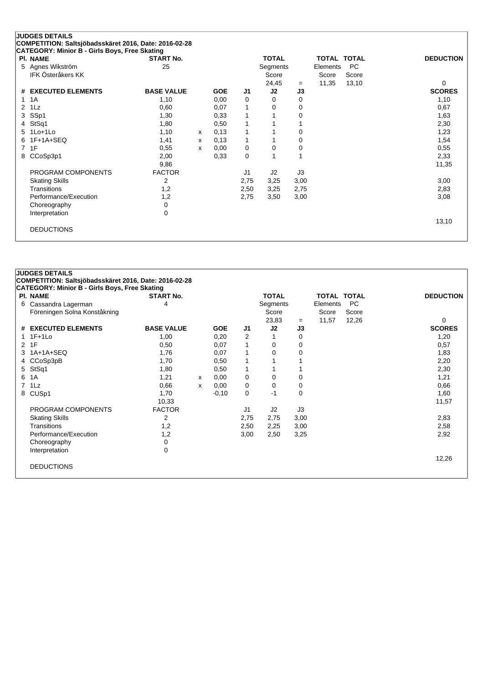| CATEGORY: Minior B - Girls Boys, Free Skating<br>PI. NAME | <b>START No.</b>  |   |            |                | <b>TOTAL</b> |      | <b>TOTAL TOTAL</b> |           | <b>DEDUCTION</b> |
|-----------------------------------------------------------|-------------------|---|------------|----------------|--------------|------|--------------------|-----------|------------------|
| Agnes Wikström<br>5.                                      | 25                |   |            |                | Segments     |      | Elements           | <b>PC</b> |                  |
| <b>IFK Österåkers KK</b>                                  |                   |   |            |                | Score        |      | Score              | Score     |                  |
|                                                           |                   |   |            |                | 24,45        | $=$  | 11,35              | 13,10     | 0                |
| # EXECUTED ELEMENTS                                       | <b>BASE VALUE</b> |   | <b>GOE</b> | J1             | J2           | J3   |                    |           | <b>SCORES</b>    |
| 1A<br>1.                                                  | 1,10              |   | 0,00       | 0              | 0            | 0    |                    |           | 1,10             |
| $1\mathsf{L}z$<br>2                                       | 0,60              |   | 0,07       | 1              | 0            | 0    |                    |           | 0,67             |
| SSp1<br>3                                                 | 1,30              |   | 0,33       | 1              |              | 0    |                    |           | 1,63             |
| StSq1<br>4                                                | 1,80              |   | 0,50       | 1              |              |      |                    |           | 2,30             |
| $1$ Lo $+1$ Lo<br>5.                                      | 1,10              | X | 0,13       | 1              |              | 0    |                    |           | 1,23             |
| $1F+1A+SEQ$<br>6                                          | 1,41              | x | 0,13       | $\mathbf{1}$   |              | 0    |                    |           | 1,54             |
| 1F<br>7                                                   | 0,55              | x | 0,00       | 0              | 0            | 0    |                    |           | 0,55             |
| CCoSp3p1<br>8                                             | 2,00              |   | 0,33       | 0              |              |      |                    |           | 2,33             |
|                                                           | 9,86              |   |            |                |              |      |                    |           | 11,35            |
| PROGRAM COMPONENTS                                        | <b>FACTOR</b>     |   |            | J <sub>1</sub> | J2           | J3   |                    |           |                  |
| <b>Skating Skills</b>                                     | 2                 |   |            | 2,75           | 3,25         | 3,00 |                    |           | 3,00             |
| Transitions                                               | 1,2               |   |            | 2,50           | 3,25         | 2,75 |                    |           | 2,83             |
| Performance/Execution                                     | 1,2               |   |            | 2,75           | 3,50         | 3,00 |                    |           | 3,08             |
| Choreography                                              | 0                 |   |            |                |              |      |                    |           |                  |
| Interpretation                                            | $\mathbf 0$       |   |            |                |              |      |                    |           |                  |
|                                                           |                   |   |            |                |              |      |                    |           | 13,10            |

|              | <b>JUDGES DETAILS</b>                                 |                   |              |            |      |              |             |                    |       |                  |
|--------------|-------------------------------------------------------|-------------------|--------------|------------|------|--------------|-------------|--------------------|-------|------------------|
|              | COMPETITION: Saltsjöbadsskäret 2016, Date: 2016-02-28 |                   |              |            |      |              |             |                    |       |                  |
|              | CATEGORY: Minior B - Girls Boys, Free Skating         |                   |              |            |      |              |             |                    |       |                  |
|              | <b>PI. NAME</b>                                       | <b>START No.</b>  |              |            |      | <b>TOTAL</b> |             | <b>TOTAL TOTAL</b> |       | <b>DEDUCTION</b> |
|              | 6 Cassandra Lagerman                                  | 4                 |              |            |      | Segments     |             | Elements           | PC.   |                  |
|              | Föreningen Solna Konståkning                          |                   |              |            |      | Score        |             | Score              | Score |                  |
|              |                                                       |                   |              |            |      | 23,83        | $=$         | 11,57              | 12,26 | 0                |
|              | # EXECUTED ELEMENTS                                   | <b>BASE VALUE</b> |              | <b>GOE</b> | J1   | J2           | J3          |                    |       | <b>SCORES</b>    |
| $\mathbf 1$  | $1F+1Lo$                                              | 1,00              |              | 0,20       | 2    |              | 0           |                    |       | 1,20             |
| $\mathbf{2}$ | 1F                                                    | 0,50              |              | 0,07       | 1    | 0            | $\mathbf 0$ |                    |       | 0,57             |
| 3            | 1A+1A+SEQ                                             | 1,76              |              | 0,07       | 1    | 0            | 0           |                    |       | 1,83             |
| 4            | CCoSp3pB                                              | 1,70              |              | 0,50       | 1    |              |             |                    |       | 2,20             |
| 5            | StSq1                                                 | 1,80              |              | 0,50       | 1    |              |             |                    |       | 2,30             |
| 6            | 1A                                                    | 1,21              | $\mathsf{x}$ | 0,00       | 0    | 0            | 0           |                    |       | 1,21             |
| 7            | $1\mathsf{L}z$                                        | 0.66              | X            | 0,00       | 0    | $\Omega$     | $\Omega$    |                    |       | 0,66             |
| 8            | CUS <sub>p1</sub>                                     | 1,70              |              | $-0,10$    | 0    | -1           | $\Omega$    |                    |       | 1,60             |
|              |                                                       | 10,33             |              |            |      |              |             |                    |       | 11,57            |
|              | PROGRAM COMPONENTS                                    | <b>FACTOR</b>     |              |            | J1   | J2           | J3          |                    |       |                  |
|              | <b>Skating Skills</b>                                 | 2                 |              |            | 2,75 | 2,75         | 3,00        |                    |       | 2,83             |
|              | <b>Transitions</b>                                    | 1,2               |              |            | 2,50 | 2,25         | 3,00        |                    |       | 2,58             |
|              | Performance/Execution                                 | 1,2               |              |            | 3,00 | 2,50         | 3,25        |                    |       | 2,92             |
|              | Choreography                                          | 0                 |              |            |      |              |             |                    |       |                  |
|              | Interpretation                                        | 0                 |              |            |      |              |             |                    |       |                  |
|              |                                                       |                   |              |            |      |              |             |                    |       | 12,26            |
|              | <b>DEDUCTIONS</b>                                     |                   |              |            |      |              |             |                    |       |                  |
|              |                                                       |                   |              |            |      |              |             |                    |       |                  |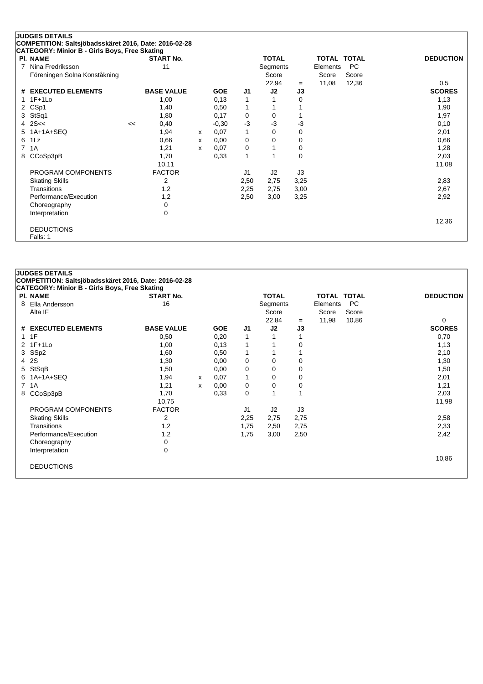|   | <b>JUDGES DETAILS</b><br>COMPETITION: Saltsjöbadsskäret 2016, Date: 2016-02-28 |    |                   |   |            |                |              |      |              |              |                  |
|---|--------------------------------------------------------------------------------|----|-------------------|---|------------|----------------|--------------|------|--------------|--------------|------------------|
|   | CATEGORY: Minior B - Girls Boys, Free Skating                                  |    |                   |   |            |                |              |      |              |              |                  |
|   | PI. NAME                                                                       |    | <b>START No.</b>  |   |            |                | <b>TOTAL</b> |      | <b>TOTAL</b> | <b>TOTAL</b> | <b>DEDUCTION</b> |
| 7 | Nina Fredriksson                                                               |    | 11                |   |            |                | Segments     |      | Elements     | PC           |                  |
|   | Föreningen Solna Konståkning                                                   |    |                   |   |            |                | Score        |      | Score        | Score        |                  |
|   |                                                                                |    |                   |   |            |                | 22,94        | $=$  | 11,08        | 12,36        | 0,5              |
|   | # EXECUTED ELEMENTS                                                            |    | <b>BASE VALUE</b> |   | <b>GOE</b> | J <sub>1</sub> | J2           | J3   |              |              | <b>SCORES</b>    |
|   | $1F+1Lo$                                                                       |    | 1,00              |   | 0,13       | 1              |              | 0    |              |              | 1,13             |
| 2 | CSp1                                                                           |    | 1,40              |   | 0,50       | 1              |              |      |              |              | 1,90             |
| 3 | StSq1                                                                          |    | 1,80              |   | 0,17       | 0              | 0            |      |              |              | 1,97             |
| 4 | 2S <<                                                                          | << | 0,40              |   | $-0,30$    | $-3$           | -3           | -3   |              |              | 0,10             |
| 5 | $1A+1A+SEQ$                                                                    |    | 1,94              | X | 0,07       | 1              | 0            | 0    |              |              | 2,01             |
| 6 | 1Lz                                                                            |    | 0,66              | x | 0,00       | 0              | 0            | 0    |              |              | 0,66             |
| 7 | 1A                                                                             |    | 1,21              | x | 0,07       | 0              |              | 0    |              |              | 1,28             |
| 8 | CCoSp3pB                                                                       |    | 1,70              |   | 0.33       | 1              |              | 0    |              |              | 2,03             |
|   |                                                                                |    | 10,11             |   |            |                |              |      |              |              | 11,08            |
|   | PROGRAM COMPONENTS                                                             |    | <b>FACTOR</b>     |   |            | J <sub>1</sub> | J2           | J3   |              |              |                  |
|   | <b>Skating Skills</b>                                                          |    | 2                 |   |            | 2,50           | 2,75         | 3,25 |              |              | 2,83             |
|   | Transitions                                                                    |    | 1,2               |   |            | 2,25           | 2,75         | 3,00 |              |              | 2,67             |
|   | Performance/Execution                                                          |    | 1,2               |   |            | 2,50           | 3,00         | 3,25 |              |              | 2,92             |
|   | Choreography                                                                   |    | $\mathbf 0$       |   |            |                |              |      |              |              |                  |
|   | Interpretation                                                                 |    | 0                 |   |            |                |              |      |              |              |                  |
|   |                                                                                |    |                   |   |            |                |              |      |              |              | 12,36            |
|   | <b>DEDUCTIONS</b>                                                              |    |                   |   |            |                |              |      |              |              |                  |
|   | Falls: 1                                                                       |    |                   |   |            |                |              |      |              |              |                  |

|   | PI. NAME              | <b>START No.</b>  |   |            |                | <b>TOTAL</b> |      | <b>TOTAL TOTAL</b> |           | <b>DEDUCTION</b> |
|---|-----------------------|-------------------|---|------------|----------------|--------------|------|--------------------|-----------|------------------|
| 8 | Ella Andersson        | 16                |   |            |                | Segments     |      | Elements           | <b>PC</b> |                  |
|   | Älta IF               |                   |   |            |                | Score        |      | Score              | Score     |                  |
|   |                       |                   |   |            |                | 22,84        | $=$  | 11,98              | 10,86     | $\Omega$         |
|   | # EXECUTED ELEMENTS   | <b>BASE VALUE</b> |   | <b>GOE</b> | J <sub>1</sub> | J2           | J3   |                    |           | <b>SCORES</b>    |
|   | $1 \t1F$              | 0,50              |   | 0,20       | 1              |              |      |                    |           | 0,70             |
|   | 2 1F+1Lo              | 1,00              |   | 0,13       | 1              |              | 0    |                    |           | 1,13             |
|   | 3 SSp2                | 1,60              |   | 0,50       | 1              |              |      |                    |           | 2,10             |
|   | 4 2S                  | 1,30              |   | 0,00       | 0              | 0            | 0    |                    |           | 1,30             |
|   | 5 StSqB               | 1,50              |   | 0,00       | 0              | 0            | 0    |                    |           | 1,50             |
| 6 | 1A+1A+SEQ             | 1,94              | x | 0,07       | $\mathbf{1}$   | 0            | 0    |                    |           | 2,01             |
|   | 7 1A                  | 1,21              | X | 0,00       | 0              | 0            | 0    |                    |           | 1,21             |
| 8 | CCoSp3pB              | 1,70              |   | 0,33       | 0              |              |      |                    |           | 2,03             |
|   |                       | 10,75             |   |            |                |              |      |                    |           | 11,98            |
|   | PROGRAM COMPONENTS    | <b>FACTOR</b>     |   |            | J <sub>1</sub> | J2           | J3   |                    |           |                  |
|   | <b>Skating Skills</b> | 2                 |   |            | 2,25           | 2,75         | 2,75 |                    |           | 2,58             |
|   | Transitions           | 1,2               |   |            | 1,75           | 2,50         | 2,75 |                    |           | 2,33             |
|   | Performance/Execution | 1,2               |   |            | 1,75           | 3,00         | 2,50 |                    |           | 2,42             |
|   | Choreography          | 0                 |   |            |                |              |      |                    |           |                  |
|   | Interpretation        | 0                 |   |            |                |              |      |                    |           |                  |
|   |                       |                   |   |            |                |              |      |                    |           | 10,86            |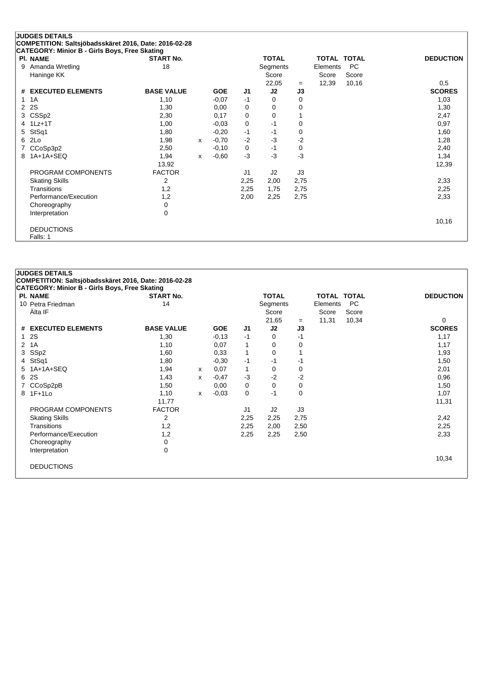|   | <b>JUDGES DETAILS</b><br>COMPETITION: Saltsjöbadsskäret 2016, Date: 2016-02-28 |                   |              |            |                |              |      |                    |           |                  |
|---|--------------------------------------------------------------------------------|-------------------|--------------|------------|----------------|--------------|------|--------------------|-----------|------------------|
|   | CATEGORY: Minior B - Girls Boys, Free Skating                                  |                   |              |            |                |              |      |                    |           |                  |
|   | <b>PI. NAME</b>                                                                | <b>START No.</b>  |              |            |                | <b>TOTAL</b> |      | <b>TOTAL TOTAL</b> |           | <b>DEDUCTION</b> |
| 9 | Amanda Wretling                                                                | 18                |              |            |                | Segments     |      | Elements           | <b>PC</b> |                  |
|   | Haninge KK                                                                     |                   |              |            |                | Score        |      | Score              | Score     |                  |
|   |                                                                                |                   |              |            |                | 22,05        | $=$  | 12,39              | 10,16     | 0,5              |
|   | # EXECUTED ELEMENTS                                                            | <b>BASE VALUE</b> |              | <b>GOE</b> | J <sub>1</sub> | J2           | J3   |                    |           | <b>SCORES</b>    |
|   | 1A                                                                             | 1,10              |              | $-0.07$    | $-1$           | 0            | 0    |                    |           | 1,03             |
| 2 | 2S                                                                             | 1,30              |              | 0,00       | 0              | 0            | 0    |                    |           | 1,30             |
|   | CSSp2                                                                          | 2,30              |              | 0,17       | 0              | 0            |      |                    |           | 2,47             |
|   | 4 1Lz+1T                                                                       | 1,00              |              | $-0,03$    | 0              | $-1$         | 0    |                    |           | 0,97             |
| 5 | StSq1                                                                          | 1,80              |              | $-0,20$    | $-1$           | -1           | 0    |                    |           | 1,60             |
| 6 | 2Lo                                                                            | 1,98              | X            | $-0,70$    | $-2$           | $-3$         | $-2$ |                    |           | 1,28             |
|   | CCoSp3p2                                                                       | 2,50              |              | $-0,10$    | 0              | $-1$         | 0    |                    |           | 2,40             |
| 8 | 1A+1A+SEQ                                                                      | 1,94              | $\mathsf{x}$ | $-0.60$    | $-3$           | $-3$         | $-3$ |                    |           | 1,34             |
|   |                                                                                | 13,92             |              |            |                |              |      |                    |           | 12,39            |
|   | PROGRAM COMPONENTS                                                             | <b>FACTOR</b>     |              |            | J1             | J2           | J3   |                    |           |                  |
|   | <b>Skating Skills</b>                                                          | 2                 |              |            | 2,25           | 2,00         | 2,75 |                    |           | 2,33             |
|   | Transitions                                                                    | 1,2               |              |            | 2,25           | 1,75         | 2,75 |                    |           | 2,25             |
|   | Performance/Execution                                                          | 1,2               |              |            | 2,00           | 2,25         | 2,75 |                    |           | 2,33             |
|   | Choreography                                                                   | 0                 |              |            |                |              |      |                    |           |                  |
|   | Interpretation                                                                 | 0                 |              |            |                |              |      |                    |           |                  |
|   |                                                                                |                   |              |            |                |              |      |                    |           | 10,16            |
|   | <b>DEDUCTIONS</b>                                                              |                   |              |            |                |              |      |                    |           |                  |
|   | Falls: 1                                                                       |                   |              |            |                |              |      |                    |           |                  |

|              | <b>JUDGES DETAILS</b>                                 |                   |   |            |                |              |          |                    |           |                  |
|--------------|-------------------------------------------------------|-------------------|---|------------|----------------|--------------|----------|--------------------|-----------|------------------|
|              | COMPETITION: Saltsjöbadsskäret 2016, Date: 2016-02-28 |                   |   |            |                |              |          |                    |           |                  |
|              | <b>CATEGORY: Minior B - Girls Boys, Free Skating</b>  |                   |   |            |                |              |          |                    |           |                  |
|              | <b>PI. NAME</b>                                       | <b>START No.</b>  |   |            |                | <b>TOTAL</b> |          | <b>TOTAL TOTAL</b> |           | <b>DEDUCTION</b> |
|              | 10 Petra Friedman                                     | 14                |   |            |                | Segments     |          | Elements           | <b>PC</b> |                  |
|              | Älta IF                                               |                   |   |            |                | Score        |          | Score              | Score     |                  |
|              |                                                       |                   |   |            |                | 21,65        | $=$      | 11,31              | 10,34     | 0                |
|              | # EXECUTED ELEMENTS                                   | <b>BASE VALUE</b> |   | <b>GOE</b> | J <sub>1</sub> | J2           | J3       |                    |           | <b>SCORES</b>    |
|              | 12S                                                   | 1,30              |   | $-0,13$    | $-1$           | 0            | $-1$     |                    |           | 1,17             |
| $\mathbf{2}$ | 1A                                                    | 1,10              |   | 0,07       | $\mathbf{1}$   | 0            | 0        |                    |           | 1,17             |
| 3            | SSp2                                                  | 1,60              |   | 0,33       | $\mathbf{1}$   | 0            |          |                    |           | 1,93             |
| 4            | StSq1                                                 | 1,80              |   | $-0,30$    | $-1$           | -1           | $-1$     |                    |           | 1,50             |
|              | 5 1A+1A+SEQ                                           | 1,94              | X | 0,07       | 1              | 0            | 0        |                    |           | 2,01             |
| 6            | 2S                                                    | 1,43              | X | $-0,47$    | $-3$           | $-2$         | -2       |                    |           | 0,96             |
|              | 7 CCoSp2pB                                            | 1,50              |   | 0,00       | 0              | 0            | 0        |                    |           | 1,50             |
|              | 8 1F+1Lo                                              | 1,10              | x | $-0.03$    | 0              | $-1$         | $\Omega$ |                    |           | 1,07             |
|              |                                                       | 11,77             |   |            |                |              |          |                    |           | 11,31            |
|              | PROGRAM COMPONENTS                                    | <b>FACTOR</b>     |   |            | J1             | J2           | J3       |                    |           |                  |
|              | <b>Skating Skills</b>                                 | 2                 |   |            | 2,25           | 2,25         | 2,75     |                    |           | 2,42             |
|              | Transitions                                           | 1,2               |   |            | 2,25           | 2,00         | 2,50     |                    |           | 2,25             |
|              | Performance/Execution                                 | 1,2               |   |            | 2,25           | 2,25         | 2,50     |                    |           | 2,33             |
|              | Choreography                                          | 0                 |   |            |                |              |          |                    |           |                  |
|              | Interpretation                                        | 0                 |   |            |                |              |          |                    |           |                  |
|              |                                                       |                   |   |            |                |              |          |                    |           | 10,34            |
|              | <b>DEDUCTIONS</b>                                     |                   |   |            |                |              |          |                    |           |                  |
|              |                                                       |                   |   |            |                |              |          |                    |           |                  |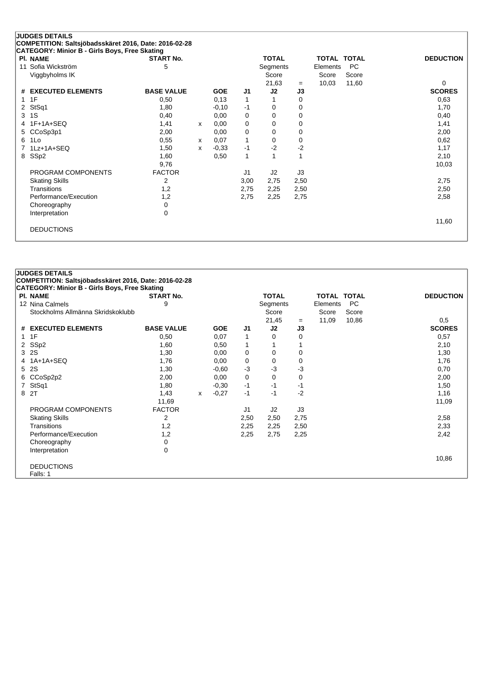| <b>PI. NAME</b>       | <b>START No.</b>  |   |            |                | <b>TOTAL</b> |      | <b>TOTAL TOTAL</b> |           | <b>DEDUCTION</b> |
|-----------------------|-------------------|---|------------|----------------|--------------|------|--------------------|-----------|------------------|
| Sofia Wickström<br>11 | 5                 |   |            |                | Segments     |      | Elements           | <b>PC</b> |                  |
| Viggbyholms IK        |                   |   |            |                | Score        |      | Score              | Score     |                  |
|                       |                   |   |            |                | 21,63        | $=$  | 10,03              | 11,60     | 0                |
| # EXECUTED ELEMENTS   | <b>BASE VALUE</b> |   | <b>GOE</b> | J1             | J2           | J3   |                    |           | <b>SCORES</b>    |
| 1F<br>1               | 0,50              |   | 0,13       | 1              |              | 0    |                    |           | 0,63             |
| 2 StSq1               | 1,80              |   | $-0,10$    | -1             | 0            | 0    |                    |           | 1,70             |
| 1S<br>3               | 0,40              |   | 0,00       | 0              | 0            | 0    |                    |           | 0,40             |
| 4 1F+1A+SEQ           | 1,41              | X | 0,00       | 0              | 0            | 0    |                    |           | 1,41             |
| 5 CCoSp3p1            | 2,00              |   | 0,00       | 0              | 0            | 0    |                    |           | 2,00             |
| 6 1Lo                 | 0,55              | x | 0,07       | $\mathbf{1}$   | 0            | 0    |                    |           | 0,62             |
| 1Lz+1A+SEQ<br>7       | 1,50              | X | $-0.33$    | $-1$           | $-2$         | $-2$ |                    |           | 1,17             |
| 8 SSp2                | 1,60              |   | 0,50       | $\mathbf{1}$   |              |      |                    |           | 2,10             |
|                       | 9,76              |   |            |                |              |      |                    |           | 10,03            |
| PROGRAM COMPONENTS    | <b>FACTOR</b>     |   |            | J <sub>1</sub> | J2           | J3   |                    |           |                  |
| <b>Skating Skills</b> | 2                 |   |            | 3,00           | 2,75         | 2,50 |                    |           | 2,75             |
| Transitions           | 1,2               |   |            | 2,75           | 2,25         | 2,50 |                    |           | 2,50             |
| Performance/Execution | 1,2               |   |            | 2,75           | 2,25         | 2,75 |                    |           | 2,58             |
| Choreography          | 0                 |   |            |                |              |      |                    |           |                  |
| Interpretation        | 0                 |   |            |                |              |      |                    |           |                  |
|                       |                   |   |            |                |              |      |                    |           | 11,60            |

|              | <b>JUDGES DETAILS</b>                                 |                   |   |            |                |              |             |             |           |                  |
|--------------|-------------------------------------------------------|-------------------|---|------------|----------------|--------------|-------------|-------------|-----------|------------------|
|              | COMPETITION: Saltsjöbadsskäret 2016, Date: 2016-02-28 |                   |   |            |                |              |             |             |           |                  |
|              | CATEGORY: Minior B - Girls Boys, Free Skating         |                   |   |            |                |              |             |             |           |                  |
|              | <b>PI. NAME</b>                                       | <b>START No.</b>  |   |            |                | <b>TOTAL</b> |             | TOTAL TOTAL |           | <b>DEDUCTION</b> |
|              | 12 Nina Calmels                                       | 9                 |   |            |                | Segments     |             | Elements    | <b>PC</b> |                  |
|              | Stockholms Allmänna Skridskoklubb                     |                   |   |            |                | Score        |             | Score       | Score     |                  |
|              |                                                       |                   |   |            |                | 21,45        | $=$         | 11,09       | 10,86     | 0,5              |
|              | # EXECUTED ELEMENTS                                   | <b>BASE VALUE</b> |   | <b>GOE</b> | J <sub>1</sub> | J2           | J3          |             |           | <b>SCORES</b>    |
| $\mathbf{1}$ | 1F                                                    | 0,50              |   | 0,07       | 1              | 0            | 0           |             |           | 0,57             |
|              | 2 SSp2                                                | 1,60              |   | 0,50       | $\mathbf{1}$   |              |             |             |           | 2,10             |
|              | 3 2S                                                  | 1,30              |   | 0,00       | 0              | 0            | 0           |             |           | 1,30             |
| 4            | 1A+1A+SEQ                                             | 1,76              |   | 0,00       | 0              | 0            | $\mathbf 0$ |             |           | 1,76             |
| 5            | 2S                                                    | 1,30              |   | $-0.60$    | $-3$           | $-3$         | $-3$        |             |           | 0,70             |
| 6            | CCoSp2p2                                              | 2,00              |   | 0,00       | 0              | 0            | 0           |             |           | 2,00             |
| 7            | StSq1                                                 | 1,80              |   | $-0,30$    | $-1$           | $-1$         | -1          |             |           | 1,50             |
| 8            | 2T                                                    | 1,43              | X | $-0,27$    | $-1$           | $-1$         | $-2$        |             |           | 1,16             |
|              |                                                       | 11,69             |   |            |                |              |             |             |           | 11,09            |
|              | PROGRAM COMPONENTS                                    | <b>FACTOR</b>     |   |            | J1             | J2           | J3          |             |           |                  |
|              | <b>Skating Skills</b>                                 | 2                 |   |            | 2,50           | 2,50         | 2,75        |             |           | 2,58             |
|              | <b>Transitions</b>                                    | 1,2               |   |            | 2,25           | 2,25         | 2,50        |             |           | 2,33             |
|              | Performance/Execution                                 | 1,2               |   |            | 2,25           | 2,75         | 2,25        |             |           | 2,42             |
|              | Choreography                                          | 0                 |   |            |                |              |             |             |           |                  |
|              | Interpretation                                        | 0                 |   |            |                |              |             |             |           |                  |
|              |                                                       |                   |   |            |                |              |             |             |           | 10,86            |
|              | <b>DEDUCTIONS</b>                                     |                   |   |            |                |              |             |             |           |                  |
|              | Falls: 1                                              |                   |   |            |                |              |             |             |           |                  |
|              |                                                       |                   |   |            |                |              |             |             |           |                  |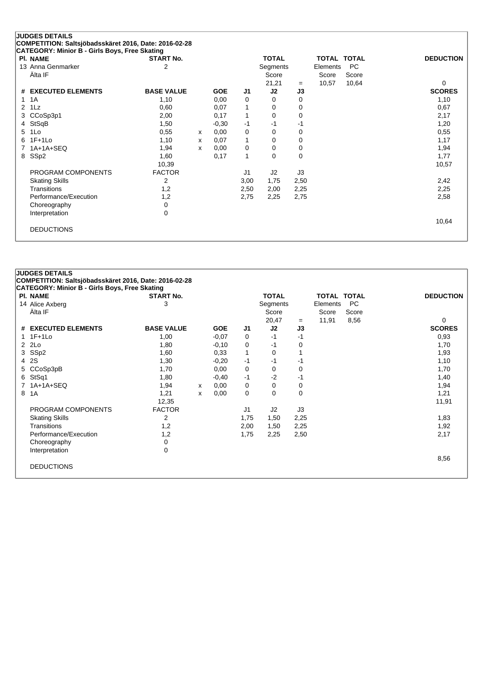|                | <b>JUDGES DETAILS</b><br>COMPETITION: Saltsjöbadsskäret 2016, Date: 2016-02-28 |                   |   |            |                |              |          |                    |           |                  |
|----------------|--------------------------------------------------------------------------------|-------------------|---|------------|----------------|--------------|----------|--------------------|-----------|------------------|
|                | <b>CATEGORY: Minior B - Girls Boys, Free Skating</b>                           |                   |   |            |                |              |          |                    |           |                  |
|                | <b>PI. NAME</b>                                                                | <b>START No.</b>  |   |            |                | <b>TOTAL</b> |          | <b>TOTAL TOTAL</b> |           | <b>DEDUCTION</b> |
|                | 13 Anna Genmarker                                                              | 2                 |   |            |                | Segments     |          | Elements           | <b>PC</b> |                  |
|                | Älta IF                                                                        |                   |   |            |                | Score        |          | Score              | Score     |                  |
|                |                                                                                |                   |   |            |                | 21,21        | $=$      | 10,57              | 10,64     | 0                |
|                | # EXECUTED ELEMENTS                                                            | <b>BASE VALUE</b> |   | <b>GOE</b> | J1             | J2           | J3       |                    |           | <b>SCORES</b>    |
| $\mathbf 1$    | 1A                                                                             | 1,10              |   | 0,00       | 0              | 0            | 0        |                    |           | 1,10             |
| $\overline{2}$ | 1Lz                                                                            | 0,60              |   | 0,07       | 1              | 0            | 0        |                    |           | 0,67             |
| 3              | CCoSp3p1                                                                       | 2,00              |   | 0,17       | 1              | 0            | $\Omega$ |                    |           | 2,17             |
| 4              | StSqB                                                                          | 1,50              |   | $-0,30$    | $-1$           | -1           | -1       |                    |           | 1,20             |
| 5              | 1Lo                                                                            | 0,55              | x | 0,00       | 0              | 0            | 0        |                    |           | 0,55             |
|                | 6 1F+1Lo                                                                       | 1,10              | x | 0,07       | 1              | 0            | 0        |                    |           | 1,17             |
| $\overline{7}$ | 1A+1A+SEQ                                                                      | 1,94              | X | 0,00       | 0              | 0            | 0        |                    |           | 1,94             |
|                | 8 SSp2                                                                         | 1,60              |   | 0,17       | 1              | $\Omega$     | 0        |                    |           | 1,77             |
|                |                                                                                | 10,39             |   |            |                |              |          |                    |           | 10,57            |
|                | PROGRAM COMPONENTS                                                             | <b>FACTOR</b>     |   |            | J <sub>1</sub> | J2           | J3       |                    |           |                  |
|                | <b>Skating Skills</b>                                                          | 2                 |   |            | 3,00           | 1,75         | 2,50     |                    |           | 2,42             |
|                | Transitions                                                                    | 1,2               |   |            | 2,50           | 2,00         | 2,25     |                    |           | 2,25             |
|                | Performance/Execution                                                          | 1,2               |   |            | 2,75           | 2,25         | 2,75     |                    |           | 2,58             |
|                | Choreography                                                                   | 0                 |   |            |                |              |          |                    |           |                  |
|                | Interpretation                                                                 | 0                 |   |            |                |              |          |                    |           |                  |
|                |                                                                                |                   |   |            |                |              |          |                    |           | 10,64            |
|                | <b>DEDUCTIONS</b>                                                              |                   |   |            |                |              |          |                    |           |                  |
|                |                                                                                |                   |   |            |                |              |          |                    |           |                  |

| COMPETITION: Saltsjöbadsskäret 2016, Date: 2016-02-28<br>CATEGORY: Minior B - Girls Boys, Free Skating<br>PI. NAME<br><b>TOTAL</b><br><b>TOTAL TOTAL</b><br><b>START No.</b><br>3<br><b>PC</b><br>14 Alice Axberg<br>Segments<br>Elements<br>Älta IF<br>Score<br>Score<br>Score | <b>DEDUCTION</b><br>0<br><b>SCORES</b> |
|---------------------------------------------------------------------------------------------------------------------------------------------------------------------------------------------------------------------------------------------------------------------------------|----------------------------------------|
|                                                                                                                                                                                                                                                                                 |                                        |
|                                                                                                                                                                                                                                                                                 |                                        |
|                                                                                                                                                                                                                                                                                 |                                        |
|                                                                                                                                                                                                                                                                                 |                                        |
|                                                                                                                                                                                                                                                                                 |                                        |
| 8,56<br>20,47<br>11,91<br>$=$                                                                                                                                                                                                                                                   |                                        |
| <b>BASE VALUE</b><br>J2<br># EXECUTED ELEMENTS<br><b>GOE</b><br>J <sub>1</sub><br>J3                                                                                                                                                                                            |                                        |
| $1F+1L0$<br>1,00<br>$-0,07$<br>$-1$<br>$-1$<br>0                                                                                                                                                                                                                                | 0,93                                   |
| $2$ $2Lo$<br>1,80<br>$-0,10$<br>0<br>-1<br>0                                                                                                                                                                                                                                    | 1,70                                   |
| 3 SSp2<br>$\mathbf{1}$<br>0,33<br>1,60<br>0                                                                                                                                                                                                                                     | 1,93                                   |
| 2S<br>1,30<br>$-0,20$<br>$-1$<br>$-1$<br>4<br>-1                                                                                                                                                                                                                                | 1,10                                   |
| 5 CCoSp3pB<br>0,00<br>1,70<br>0<br>0<br>0                                                                                                                                                                                                                                       | 1,70                                   |
| $-2$<br>StSq1<br>$-1$<br>$-1$<br>6<br>1,80<br>$-0,40$                                                                                                                                                                                                                           | 1,40                                   |
| $1A+1A+SEQ$<br>0,00<br>0<br>$\Omega$<br>0<br>1,94<br>x                                                                                                                                                                                                                          | 1,94                                   |
| $\Omega$<br>1A<br>0<br>1,21<br>0,00<br>$\Omega$<br>8<br>x                                                                                                                                                                                                                       | 1,21                                   |
| 12,35                                                                                                                                                                                                                                                                           | 11,91                                  |
| PROGRAM COMPONENTS<br><b>FACTOR</b><br>J <sub>1</sub><br>J2<br>J3                                                                                                                                                                                                               |                                        |
| 2<br><b>Skating Skills</b><br>1,75<br>2,25<br>1,50                                                                                                                                                                                                                              | 1,83                                   |
| Transitions<br>1,2<br>2,00<br>2,25<br>1,50                                                                                                                                                                                                                                      | 1,92                                   |
| Performance/Execution<br>1,2<br>1,75<br>2,25<br>2,50                                                                                                                                                                                                                            | 2,17                                   |
| Choreography<br>0                                                                                                                                                                                                                                                               |                                        |
| $\Omega$<br>Interpretation                                                                                                                                                                                                                                                      |                                        |
|                                                                                                                                                                                                                                                                                 | 8,56                                   |
| <b>DEDUCTIONS</b>                                                                                                                                                                                                                                                               |                                        |
|                                                                                                                                                                                                                                                                                 |                                        |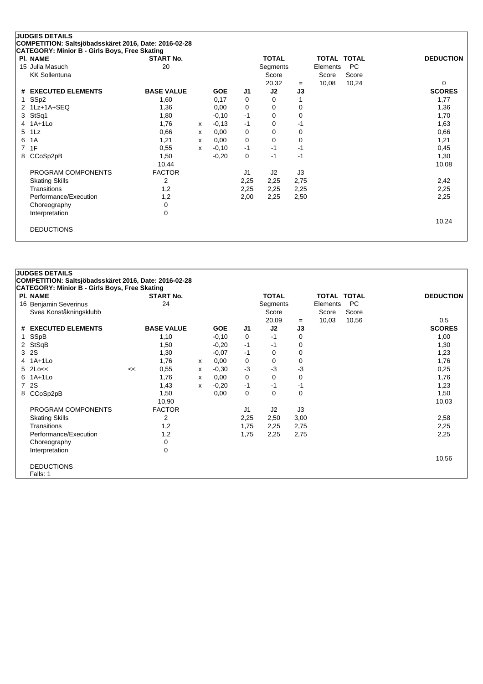|                | <b>JUDGES DETAILS</b>                                 |                   |   |            |      |              |      |             |           |                  |
|----------------|-------------------------------------------------------|-------------------|---|------------|------|--------------|------|-------------|-----------|------------------|
|                | COMPETITION: Saltsjöbadsskäret 2016, Date: 2016-02-28 |                   |   |            |      |              |      |             |           |                  |
|                | <b>CATEGORY: Minior B - Girls Boys, Free Skating</b>  |                   |   |            |      |              |      |             |           |                  |
|                | <b>PI. NAME</b>                                       | <b>START No.</b>  |   |            |      | <b>TOTAL</b> |      | TOTAL TOTAL |           | <b>DEDUCTION</b> |
|                | 15 Julia Masuch                                       | 20                |   |            |      | Segments     |      | Elements    | <b>PC</b> |                  |
|                | <b>KK Sollentuna</b>                                  |                   |   |            |      | Score        |      | Score       | Score     |                  |
|                |                                                       |                   |   |            |      | 20,32        | $=$  | 10,08       | 10,24     | 0                |
|                | # EXECUTED ELEMENTS                                   | <b>BASE VALUE</b> |   | <b>GOE</b> | J1   | J2           | J3   |             |           | <b>SCORES</b>    |
| 1              | SSp2                                                  | 1,60              |   | 0,17       | 0    | 0            |      |             |           | 1,77             |
|                | 2 1Lz+1A+SEQ                                          | 1,36              |   | 0,00       | 0    | 0            | 0    |             |           | 1,36             |
| 3              | StSq1                                                 | 1,80              |   | $-0,10$    | $-1$ | $\Omega$     | 0    |             |           | 1,70             |
|                | 4 1A+1Lo                                              | 1,76              | X | $-0,13$    | $-1$ | $\Omega$     | $-1$ |             |           | 1,63             |
| $5^{\circ}$    | $1\mathsf{L}z$                                        | 0,66              | x | 0,00       | 0    | 0            | 0    |             |           | 0,66             |
| 6              | 1A                                                    | 1,21              | x | 0,00       | 0    | 0            | 0    |             |           | 1,21             |
| $\overline{7}$ | 1F                                                    | 0,55              | x | $-0,10$    | $-1$ | -1           | -1   |             |           | 0,45             |
| 8              | CCoSp2pB                                              | 1,50              |   | $-0,20$    | 0    | -1           | $-1$ |             |           | 1,30             |
|                |                                                       | 10,44             |   |            |      |              |      |             |           | 10,08            |
|                | PROGRAM COMPONENTS                                    | <b>FACTOR</b>     |   |            | J1   | J2           | J3   |             |           |                  |
|                | <b>Skating Skills</b>                                 | 2                 |   |            | 2,25 | 2,25         | 2,75 |             |           | 2,42             |
|                | Transitions                                           | 1,2               |   |            | 2,25 | 2,25         | 2,25 |             |           | 2,25             |
|                | Performance/Execution                                 | 1,2               |   |            | 2,00 | 2,25         | 2,50 |             |           | 2,25             |
|                | Choreography                                          | 0                 |   |            |      |              |      |             |           |                  |
|                | Interpretation                                        | 0                 |   |            |      |              |      |             |           |                  |
|                |                                                       |                   |   |            |      |              |      |             |           | 10,24            |
|                | <b>DEDUCTIONS</b>                                     |                   |   |            |      |              |      |             |           |                  |
|                |                                                       |                   |   |            |      |              |      |             |           |                  |

| COMPETITION: Saltsjöbadsskäret 2016, Date: 2016-02-28<br>CATEGORY: Minior B - Girls Boys, Free Skating<br><b>TOTAL</b><br>PI. NAME<br><b>START No.</b><br><b>TOTAL TOTAL</b><br><b>DEDUCTION</b><br>24<br>PC<br>16 Benjamin Severinus<br>Segments<br>Elements<br>Svea Konståkningsklubb<br>Score<br>Score<br>Score<br>20,09<br>10,56<br>10,03<br>0,5<br>$=$<br># EXECUTED ELEMENTS<br><b>BASE VALUE</b><br><b>SCORES</b><br><b>GOE</b><br>J2<br>J3<br>J1<br>SSpB<br>1,10<br>$-0,10$<br>$-1$<br>1,00<br>0<br>0<br>1.<br>2 StSqB<br>$-1$<br>1,30<br>1,50<br>$-0,20$<br>$-1$<br>0<br><b>2S</b><br>3<br>1,30<br>$-0.07$<br>$-1$<br>0<br>1,23<br>$\Omega$<br>$1A+1L0$<br>0,00<br>0<br>1,76<br>1,76<br>0<br>0<br>4<br>X<br>$5$ 2Lo<<<br>$-3$<br>$-3$<br>$-3$<br>0,55<br>$-0,30$<br>0,25<br><<<br>x<br>6 1A+1Lo<br>1,76<br>0,00<br>0<br>0<br>0<br>1,76<br>x<br>2S<br>7<br>$-0,20$<br>$-1$<br>$-1$<br>1,23<br>1,43<br>$-1$<br>x<br>8 CCoSp2pB<br>0,00<br>0<br>0<br>0<br>1,50<br>1,50<br>10,90<br>10,03<br><b>FACTOR</b><br>J <sub>1</sub><br>J2<br>J3<br>PROGRAM COMPONENTS<br>2<br>2,25<br>2,58<br><b>Skating Skills</b><br>2,50<br>3,00<br>Transitions<br>1,2<br>1,75<br>2,25<br>2,75<br>2,25<br>Performance/Execution<br>1,2<br>1,75<br>2,25<br>2,75<br>2,25<br>Choreography<br>0<br>0<br>Interpretation<br>10,56<br><b>DEDUCTIONS</b><br>Falls: 1 | <b>JUDGES DETAILS</b> |  |  |  |  |  |
|-----------------------------------------------------------------------------------------------------------------------------------------------------------------------------------------------------------------------------------------------------------------------------------------------------------------------------------------------------------------------------------------------------------------------------------------------------------------------------------------------------------------------------------------------------------------------------------------------------------------------------------------------------------------------------------------------------------------------------------------------------------------------------------------------------------------------------------------------------------------------------------------------------------------------------------------------------------------------------------------------------------------------------------------------------------------------------------------------------------------------------------------------------------------------------------------------------------------------------------------------------------------------------------------------------------------------------------------------|-----------------------|--|--|--|--|--|
|                                                                                                                                                                                                                                                                                                                                                                                                                                                                                                                                                                                                                                                                                                                                                                                                                                                                                                                                                                                                                                                                                                                                                                                                                                                                                                                                               |                       |  |  |  |  |  |
|                                                                                                                                                                                                                                                                                                                                                                                                                                                                                                                                                                                                                                                                                                                                                                                                                                                                                                                                                                                                                                                                                                                                                                                                                                                                                                                                               |                       |  |  |  |  |  |
|                                                                                                                                                                                                                                                                                                                                                                                                                                                                                                                                                                                                                                                                                                                                                                                                                                                                                                                                                                                                                                                                                                                                                                                                                                                                                                                                               |                       |  |  |  |  |  |
|                                                                                                                                                                                                                                                                                                                                                                                                                                                                                                                                                                                                                                                                                                                                                                                                                                                                                                                                                                                                                                                                                                                                                                                                                                                                                                                                               |                       |  |  |  |  |  |
|                                                                                                                                                                                                                                                                                                                                                                                                                                                                                                                                                                                                                                                                                                                                                                                                                                                                                                                                                                                                                                                                                                                                                                                                                                                                                                                                               |                       |  |  |  |  |  |
|                                                                                                                                                                                                                                                                                                                                                                                                                                                                                                                                                                                                                                                                                                                                                                                                                                                                                                                                                                                                                                                                                                                                                                                                                                                                                                                                               |                       |  |  |  |  |  |
|                                                                                                                                                                                                                                                                                                                                                                                                                                                                                                                                                                                                                                                                                                                                                                                                                                                                                                                                                                                                                                                                                                                                                                                                                                                                                                                                               |                       |  |  |  |  |  |
|                                                                                                                                                                                                                                                                                                                                                                                                                                                                                                                                                                                                                                                                                                                                                                                                                                                                                                                                                                                                                                                                                                                                                                                                                                                                                                                                               |                       |  |  |  |  |  |
|                                                                                                                                                                                                                                                                                                                                                                                                                                                                                                                                                                                                                                                                                                                                                                                                                                                                                                                                                                                                                                                                                                                                                                                                                                                                                                                                               |                       |  |  |  |  |  |
|                                                                                                                                                                                                                                                                                                                                                                                                                                                                                                                                                                                                                                                                                                                                                                                                                                                                                                                                                                                                                                                                                                                                                                                                                                                                                                                                               |                       |  |  |  |  |  |
|                                                                                                                                                                                                                                                                                                                                                                                                                                                                                                                                                                                                                                                                                                                                                                                                                                                                                                                                                                                                                                                                                                                                                                                                                                                                                                                                               |                       |  |  |  |  |  |
|                                                                                                                                                                                                                                                                                                                                                                                                                                                                                                                                                                                                                                                                                                                                                                                                                                                                                                                                                                                                                                                                                                                                                                                                                                                                                                                                               |                       |  |  |  |  |  |
|                                                                                                                                                                                                                                                                                                                                                                                                                                                                                                                                                                                                                                                                                                                                                                                                                                                                                                                                                                                                                                                                                                                                                                                                                                                                                                                                               |                       |  |  |  |  |  |
|                                                                                                                                                                                                                                                                                                                                                                                                                                                                                                                                                                                                                                                                                                                                                                                                                                                                                                                                                                                                                                                                                                                                                                                                                                                                                                                                               |                       |  |  |  |  |  |
|                                                                                                                                                                                                                                                                                                                                                                                                                                                                                                                                                                                                                                                                                                                                                                                                                                                                                                                                                                                                                                                                                                                                                                                                                                                                                                                                               |                       |  |  |  |  |  |
|                                                                                                                                                                                                                                                                                                                                                                                                                                                                                                                                                                                                                                                                                                                                                                                                                                                                                                                                                                                                                                                                                                                                                                                                                                                                                                                                               |                       |  |  |  |  |  |
|                                                                                                                                                                                                                                                                                                                                                                                                                                                                                                                                                                                                                                                                                                                                                                                                                                                                                                                                                                                                                                                                                                                                                                                                                                                                                                                                               |                       |  |  |  |  |  |
|                                                                                                                                                                                                                                                                                                                                                                                                                                                                                                                                                                                                                                                                                                                                                                                                                                                                                                                                                                                                                                                                                                                                                                                                                                                                                                                                               |                       |  |  |  |  |  |
|                                                                                                                                                                                                                                                                                                                                                                                                                                                                                                                                                                                                                                                                                                                                                                                                                                                                                                                                                                                                                                                                                                                                                                                                                                                                                                                                               |                       |  |  |  |  |  |
|                                                                                                                                                                                                                                                                                                                                                                                                                                                                                                                                                                                                                                                                                                                                                                                                                                                                                                                                                                                                                                                                                                                                                                                                                                                                                                                                               |                       |  |  |  |  |  |
|                                                                                                                                                                                                                                                                                                                                                                                                                                                                                                                                                                                                                                                                                                                                                                                                                                                                                                                                                                                                                                                                                                                                                                                                                                                                                                                                               |                       |  |  |  |  |  |
|                                                                                                                                                                                                                                                                                                                                                                                                                                                                                                                                                                                                                                                                                                                                                                                                                                                                                                                                                                                                                                                                                                                                                                                                                                                                                                                                               |                       |  |  |  |  |  |
|                                                                                                                                                                                                                                                                                                                                                                                                                                                                                                                                                                                                                                                                                                                                                                                                                                                                                                                                                                                                                                                                                                                                                                                                                                                                                                                                               |                       |  |  |  |  |  |
|                                                                                                                                                                                                                                                                                                                                                                                                                                                                                                                                                                                                                                                                                                                                                                                                                                                                                                                                                                                                                                                                                                                                                                                                                                                                                                                                               |                       |  |  |  |  |  |
|                                                                                                                                                                                                                                                                                                                                                                                                                                                                                                                                                                                                                                                                                                                                                                                                                                                                                                                                                                                                                                                                                                                                                                                                                                                                                                                                               |                       |  |  |  |  |  |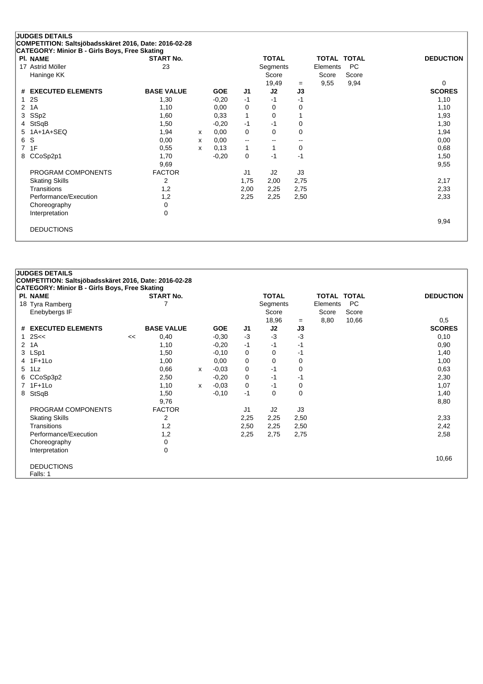|    | <b>JUDGES DETAILS</b><br>COMPETITION: Saltsjöbadsskäret 2016, Date: 2016-02-28 |                   |   |            |                |              |      |                    |           |                  |
|----|--------------------------------------------------------------------------------|-------------------|---|------------|----------------|--------------|------|--------------------|-----------|------------------|
|    | <b>CATEGORY: Minior B - Girls Boys, Free Skating</b>                           |                   |   |            |                |              |      |                    |           |                  |
|    | <b>PI. NAME</b>                                                                | <b>START No.</b>  |   |            |                | <b>TOTAL</b> |      | <b>TOTAL TOTAL</b> |           | <b>DEDUCTION</b> |
| 17 | Astrid Möller                                                                  | 23                |   |            |                | Segments     |      | Elements           | <b>PC</b> |                  |
|    | Haninge KK                                                                     |                   |   |            |                | Score        |      | Score              | Score     |                  |
|    |                                                                                |                   |   |            |                | 19,49        | $=$  | 9,55               | 9,94      | 0                |
| #  | <b>EXECUTED ELEMENTS</b>                                                       | <b>BASE VALUE</b> |   | <b>GOE</b> | J1             | J2           | J3   |                    |           | <b>SCORES</b>    |
| 1  | 2S                                                                             | 1,30              |   | $-0,20$    | $-1$           | $-1$         | $-1$ |                    |           | 1,10             |
| 2  | 1A                                                                             | 1,10              |   | 0,00       | 0              | 0            | 0    |                    |           | 1,10             |
| 3  | SSp2                                                                           | 1,60              |   | 0,33       | $\mathbf{1}$   | 0            |      |                    |           | 1,93             |
| 4  | StSqB                                                                          | 1,50              |   | $-0,20$    | $-1$           | -1           | 0    |                    |           | 1,30             |
| 5  | $1A+1A+SEQ$                                                                    | 1,94              | X | 0,00       | 0              | $\Omega$     | 0    |                    |           | 1,94             |
| 6  | S                                                                              | 0,00              | X | 0,00       | --             | --           | --   |                    |           | 0,00             |
| 7  | 1F                                                                             | 0,55              | x | 0,13       | 1              | 1            | 0    |                    |           | 0,68             |
|    | 8 CCoSp2p1                                                                     | 1,70              |   | $-0,20$    | 0              | $-1$         | $-1$ |                    |           | 1,50             |
|    |                                                                                | 9,69              |   |            |                |              |      |                    |           | 9,55             |
|    | PROGRAM COMPONENTS                                                             | <b>FACTOR</b>     |   |            | J <sub>1</sub> | J2           | J3   |                    |           |                  |
|    | <b>Skating Skills</b>                                                          | 2                 |   |            | 1,75           | 2,00         | 2,75 |                    |           | 2,17             |
|    | Transitions                                                                    | 1,2               |   |            | 2,00           | 2,25         | 2,75 |                    |           | 2,33             |
|    | Performance/Execution                                                          | 1,2               |   |            | 2,25           | 2,25         | 2,50 |                    |           | 2,33             |
|    | Choreography                                                                   | 0                 |   |            |                |              |      |                    |           |                  |
|    | Interpretation                                                                 | $\mathbf 0$       |   |            |                |              |      |                    |           |                  |
|    |                                                                                |                   |   |            |                |              |      |                    |           | 9,94             |
|    | <b>DEDUCTIONS</b>                                                              |                   |   |            |                |              |      |                    |           |                  |
|    |                                                                                |                   |   |            |                |              |      |                    |           |                  |

| <b>PI. NAME</b>       |    | CATEGORY: Minior B - Girls Boys, Free Skating<br><b>START No.</b> |   |            |      | <b>TOTAL</b>   |      | <b>TOTAL TOTAL</b> |       | <b>DEDUCTION</b> |
|-----------------------|----|-------------------------------------------------------------------|---|------------|------|----------------|------|--------------------|-------|------------------|
| 18 Tyra Ramberg       |    | 7                                                                 |   |            |      | Segments       |      | Elements           | PC    |                  |
| Enebybergs IF         |    |                                                                   |   |            |      | Score          |      | Score              | Score |                  |
|                       |    |                                                                   |   |            |      | 18,96          | $=$  | 8,80               | 10,66 | 0,5              |
| # EXECUTED ELEMENTS   |    | <b>BASE VALUE</b>                                                 |   | <b>GOE</b> | J1   | J2             | J3   |                    |       | <b>SCORES</b>    |
| 2S<<                  | << | 0,40                                                              |   | $-0,30$    | $-3$ | $-3$           | $-3$ |                    |       | 0,10             |
| 1A<br>$\overline{2}$  |    | 1,10                                                              |   | $-0,20$    | $-1$ | $-1$           | $-1$ |                    |       | 0,90             |
| LSp1<br>3             |    | 1,50                                                              |   | $-0,10$    | 0    | 0              | -1   |                    |       | 1,40             |
| 4 1F+1Lo              |    | 1,00                                                              |   | 0,00       | 0    | 0              | 0    |                    |       | 1,00             |
| $1\mathsf{L}z$<br>5   |    | 0,66                                                              | X | $-0,03$    | 0    | $-1$           | 0    |                    |       | 0,63             |
| CCoSp3p2<br>6         |    | 2,50                                                              |   | $-0,20$    | 0    | $-1$           | $-1$ |                    |       | 2,30             |
| 7 1F+1Lo              |    | 1,10                                                              | x | $-0.03$    | 0    | $-1$           | 0    |                    |       | 1,07             |
| StSqB<br>8            |    | 1,50                                                              |   | $-0,10$    | $-1$ | 0              | 0    |                    |       | 1,40             |
|                       |    | 9,76                                                              |   |            |      |                |      |                    |       | 8,80             |
| PROGRAM COMPONENTS    |    | <b>FACTOR</b>                                                     |   |            | J1   | J <sub>2</sub> | J3   |                    |       |                  |
| <b>Skating Skills</b> |    | 2                                                                 |   |            | 2,25 | 2,25           | 2,50 |                    |       | 2,33             |
| <b>Transitions</b>    |    | 1,2                                                               |   |            | 2,50 | 2,25           | 2,50 |                    |       | 2,42             |
| Performance/Execution |    | 1,2                                                               |   |            | 2,25 | 2,75           | 2,75 |                    |       | 2,58             |
| Choreography          |    | 0                                                                 |   |            |      |                |      |                    |       |                  |
| Interpretation        |    | 0                                                                 |   |            |      |                |      |                    |       |                  |
|                       |    |                                                                   |   |            |      |                |      |                    |       | 10,66            |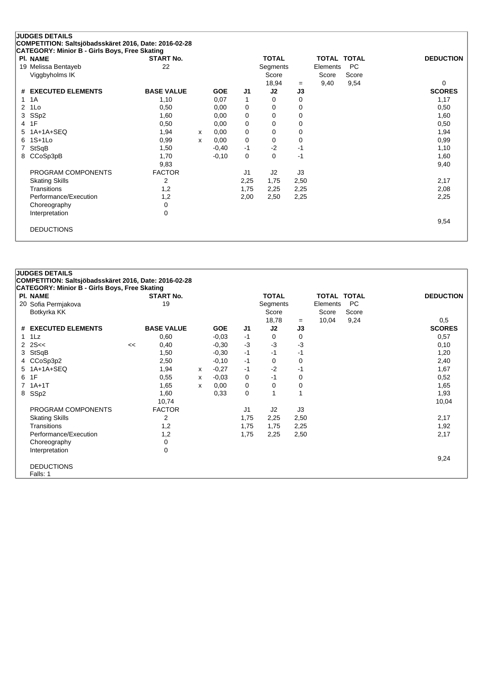| CATEGORY: Minior B - Girls Boys, Free Skating<br><b>PI. NAME</b> | <b>START No.</b>  |   |            |             | <b>TOTAL</b> |      | <b>TOTAL TOTAL</b> |           | <b>DEDUCTION</b> |
|------------------------------------------------------------------|-------------------|---|------------|-------------|--------------|------|--------------------|-----------|------------------|
| 19 Melissa Bentayeb                                              | 22                |   |            |             | Segments     |      | Elements           | <b>PC</b> |                  |
| Viggbyholms IK                                                   |                   |   |            |             | Score        |      | Score              | Score     |                  |
|                                                                  |                   |   |            |             | 18,94        | $=$  | 9,40               | 9,54      | 0                |
| <b>EXECUTED ELEMENTS</b><br>#                                    | <b>BASE VALUE</b> |   | <b>GOE</b> | J1          | J2           | J3   |                    |           | <b>SCORES</b>    |
| 1A<br>1                                                          | 1,10              |   | 0,07       | 1           | 0            | 0    |                    |           | 1,17             |
| 1Lo<br>2                                                         | 0,50              |   | 0,00       | 0           | 0            | 0    |                    |           | 0,50             |
| SSp2<br>3                                                        | 1,60              |   | 0,00       | 0           | 0            | 0    |                    |           | 1,60             |
| 1F<br>4                                                          | 0,50              |   | 0,00       | 0           | $\Omega$     | 0    |                    |           | 0,50             |
| $1A+1A+SEQ$<br>5.                                                | 1,94              | x | 0,00       | 0           | 0            | 0    |                    |           | 1,94             |
| $1S+1L0$<br>6                                                    | 0,99              | X | 0,00       | $\mathbf 0$ | 0            | 0    |                    |           | 0,99             |
| StSqB<br>7                                                       | 1,50              |   | $-0,40$    | $-1$        | $-2$         | $-1$ |                    |           | 1,10             |
| CCoSp3pB<br>8                                                    | 1,70              |   | $-0,10$    | $\mathbf 0$ | $\Omega$     | $-1$ |                    |           | 1,60             |
|                                                                  | 9,83              |   |            |             |              |      |                    |           | 9,40             |
| PROGRAM COMPONENTS                                               | <b>FACTOR</b>     |   |            | J1          | J2           | J3   |                    |           |                  |
| <b>Skating Skills</b>                                            | 2                 |   |            | 2,25        | 1,75         | 2,50 |                    |           | 2,17             |
| Transitions                                                      | 1,2               |   |            | 1,75        | 2,25         | 2,25 |                    |           | 2,08             |
| Performance/Execution                                            | 1,2               |   |            | 2,00        | 2,50         | 2,25 |                    |           | 2,25             |
| Choreography                                                     | 0                 |   |            |             |              |      |                    |           |                  |
| Interpretation                                                   | 0                 |   |            |             |              |      |                    |           |                  |
|                                                                  |                   |   |            |             |              |      |                    |           | 9,54             |

|              | <b>JUDGES DETAILS</b>                                 |    |                   |   |            |      |              |      |                    |           |                  |
|--------------|-------------------------------------------------------|----|-------------------|---|------------|------|--------------|------|--------------------|-----------|------------------|
|              | COMPETITION: Saltsjöbadsskäret 2016, Date: 2016-02-28 |    |                   |   |            |      |              |      |                    |           |                  |
|              | CATEGORY: Minior B - Girls Boys, Free Skating         |    |                   |   |            |      |              |      |                    |           |                  |
|              | <b>PI. NAME</b>                                       |    | <b>START No.</b>  |   |            |      | <b>TOTAL</b> |      | <b>TOTAL TOTAL</b> |           | <b>DEDUCTION</b> |
|              | 20 Sofia Permjakova                                   |    | 19                |   |            |      | Segments     |      | Elements           | <b>PC</b> |                  |
|              | Botkyrka KK                                           |    |                   |   |            |      | Score        |      | Score              | Score     |                  |
|              |                                                       |    |                   |   |            |      | 18,78        | $=$  | 10,04              | 9,24      | 0,5              |
|              | # EXECUTED ELEMENTS                                   |    | <b>BASE VALUE</b> |   | <b>GOE</b> | J1   | J2           | J3   |                    |           | <b>SCORES</b>    |
| $\mathbf{1}$ | 1Lz                                                   |    | 0,60              |   | $-0,03$    | $-1$ | 0            | 0    |                    |           | 0,57             |
|              | $2 \, 2S <$                                           | << | 0,40              |   | $-0.30$    | $-3$ | $-3$         | $-3$ |                    |           | 0,10             |
| 3            | StSqB                                                 |    | 1,50              |   | $-0,30$    | $-1$ | -1           | -1   |                    |           | 1,20             |
|              | 4 CCoSp3p2                                            |    | 2,50              |   | $-0,10$    | $-1$ | $\Omega$     | 0    |                    |           | 2,40             |
| 5            | $1A+1A+SEQ$                                           |    | 1,94              | X | $-0,27$    | $-1$ | $-2$         | $-1$ |                    |           | 1,67             |
| 6            | 1F                                                    |    | 0,55              | x | $-0.03$    | 0    | $-1$         | 0    |                    |           | 0,52             |
| $7^{\circ}$  | $1A+1T$                                               |    | 1,65              | x | 0,00       | 0    | 0            | 0    |                    |           | 1,65             |
| 8            | SSp2                                                  |    | 1,60              |   | 0,33       | 0    |              |      |                    |           | 1,93             |
|              |                                                       |    | 10,74             |   |            |      |              |      |                    |           | 10,04            |
|              | PROGRAM COMPONENTS                                    |    | <b>FACTOR</b>     |   |            | J1   | J2           | J3   |                    |           |                  |
|              | <b>Skating Skills</b>                                 |    | 2                 |   |            | 1,75 | 2,25         | 2,50 |                    |           | 2,17             |
|              | Transitions                                           |    | 1,2               |   |            | 1,75 | 1,75         | 2,25 |                    |           | 1,92             |
|              | Performance/Execution                                 |    | 1,2               |   |            | 1,75 | 2,25         | 2,50 |                    |           | 2,17             |
|              | Choreography                                          |    | 0                 |   |            |      |              |      |                    |           |                  |
|              | Interpretation                                        |    | 0                 |   |            |      |              |      |                    |           |                  |
|              |                                                       |    |                   |   |            |      |              |      |                    |           | 9,24             |
|              | <b>DEDUCTIONS</b>                                     |    |                   |   |            |      |              |      |                    |           |                  |
|              | Falls: 1                                              |    |                   |   |            |      |              |      |                    |           |                  |
|              |                                                       |    |                   |   |            |      |              |      |                    |           |                  |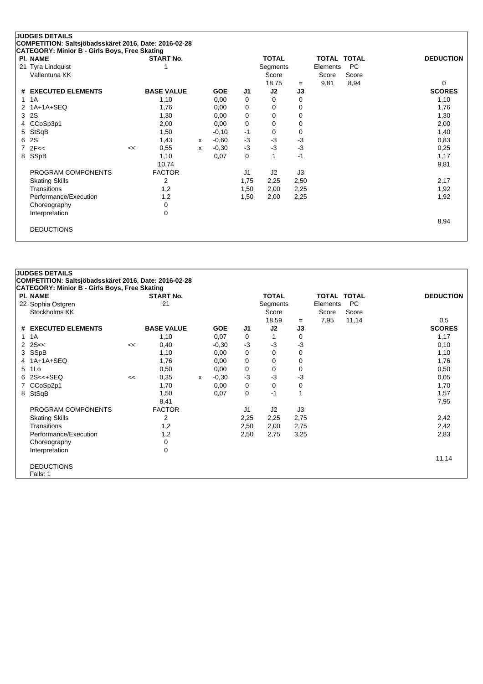|              | <b>PI. NAME</b>       |    | <b>START No.</b>  |   |            |             | <b>TOTAL</b> |             | <b>TOTAL TOTAL</b> |       | <b>DEDUCTION</b> |
|--------------|-----------------------|----|-------------------|---|------------|-------------|--------------|-------------|--------------------|-------|------------------|
|              | 21 Tyra Lindquist     |    |                   |   |            |             | Segments     |             | Elements           | PC.   |                  |
|              | Vallentuna KK         |    |                   |   |            |             | Score        |             | Score              | Score | $\Omega$         |
|              | # EXECUTED ELEMENTS   |    | <b>BASE VALUE</b> |   | <b>GOE</b> | J1          | 18,75<br>J2  | $=$<br>J3   | 9,81               | 8,94  | <b>SCORES</b>    |
| $\mathbf{1}$ | 1A                    |    | 1,10              |   | 0,00       | 0           | 0            | 0           |                    |       | 1,10             |
| 2            | 1A+1A+SEQ             |    | 1,76              |   | 0,00       | 0           | 0            | 0           |                    |       | 1,76             |
| 3            | 2S                    |    | 1,30              |   | 0,00       | $\mathbf 0$ | 0            | $\mathbf 0$ |                    |       | 1,30             |
|              | 4 CCoSp3p1            |    | 2,00              |   | 0,00       | 0           | 0            | 0           |                    |       | 2,00             |
| 5            | StSqB                 |    | 1,50              |   | $-0,10$    | $-1$        | 0            | $\mathbf 0$ |                    |       | 1,40             |
| 6            | 2S                    |    | 1,43              | X | $-0,60$    | $-3$        | $-3$         | $-3$        |                    |       | 0,83             |
|              | $7$ $2F <$            | << | 0,55              | x | $-0,30$    | $-3$        | $-3$         | $-3$        |                    |       | 0,25             |
|              | 8 SSpB                |    | 1,10              |   | 0,07       | 0           | 1            | $-1$        |                    |       | 1,17             |
|              |                       |    | 10,74             |   |            |             |              |             |                    |       | 9,81             |
|              | PROGRAM COMPONENTS    |    | <b>FACTOR</b>     |   |            | J1          | J2           | J3          |                    |       |                  |
|              | <b>Skating Skills</b> |    | 2                 |   |            | 1,75        | 2,25         | 2,50        |                    |       | 2,17             |
|              | Transitions           |    | 1,2               |   |            | 1,50        | 2,00         | 2,25        |                    |       | 1,92             |
|              | Performance/Execution |    | 1,2               |   |            | 1,50        | 2,00         | 2,25        |                    |       | 1,92             |
|              | Choreography          |    | 0                 |   |            |             |              |             |                    |       |                  |
|              | Interpretation        |    | 0                 |   |            |             |              |             |                    |       |                  |
|              | <b>DEDUCTIONS</b>     |    |                   |   |            |             |              |             |                    |       | 8,94             |

|              | <b>JUDGES DETAILS</b>                                 |    |                   |   |            |      |                |      |                    |           |                  |
|--------------|-------------------------------------------------------|----|-------------------|---|------------|------|----------------|------|--------------------|-----------|------------------|
|              | COMPETITION: Saltsjöbadsskäret 2016, Date: 2016-02-28 |    |                   |   |            |      |                |      |                    |           |                  |
|              | CATEGORY: Minior B - Girls Boys, Free Skating         |    |                   |   |            |      |                |      |                    |           |                  |
|              | <b>PI. NAME</b>                                       |    | <b>START No.</b>  |   |            |      | <b>TOTAL</b>   |      | <b>TOTAL TOTAL</b> |           | <b>DEDUCTION</b> |
|              | 22 Sophia Östgren                                     |    | 21                |   |            |      | Segments       |      | Elements           | <b>PC</b> |                  |
|              | Stockholms KK                                         |    |                   |   |            |      | Score          |      | Score              | Score     |                  |
|              |                                                       |    |                   |   |            |      | 18,59          | $=$  | 7,95               | 11,14     | 0,5              |
|              | # EXECUTED ELEMENTS                                   |    | <b>BASE VALUE</b> |   | <b>GOE</b> | J1   | J2             | J3   |                    |           | <b>SCORES</b>    |
| $\mathbf{1}$ | 1A                                                    |    | 1,10              |   | 0,07       | 0    |                | 0    |                    |           | 1,17             |
| $\mathbf{2}$ | 2S<<                                                  | << | 0,40              |   | $-0.30$    | $-3$ | -3             | $-3$ |                    |           | 0,10             |
|              | 3 SSpB                                                |    | 1,10              |   | 0,00       | 0    | $\Omega$       | 0    |                    |           | 1,10             |
| 4            | 1A+1A+SEQ                                             |    | 1,76              |   | 0,00       | 0    | 0              | 0    |                    |           | 1,76             |
| 5            | 1Lo                                                   |    | 0,50              |   | 0,00       | 0    | 0              | 0    |                    |           | 0,50             |
| 6            | $2S < +S EQ$                                          | << | 0,35              | x | $-0,30$    | $-3$ | $-3$           | $-3$ |                    |           | 0,05             |
|              | CCoSp2p1                                              |    | 1,70              |   | 0,00       | 0    | 0              | 0    |                    |           | 1,70             |
| 8            | StSqB                                                 |    | 1,50              |   | 0,07       | 0    | $-1$           |      |                    |           | 1,57             |
|              |                                                       |    | 8,41              |   |            |      |                |      |                    |           | 7,95             |
|              | PROGRAM COMPONENTS                                    |    | <b>FACTOR</b>     |   |            | J1   | J <sub>2</sub> | J3   |                    |           |                  |
|              | <b>Skating Skills</b>                                 |    | 2                 |   |            | 2,25 | 2,25           | 2,75 |                    |           | 2,42             |
|              | <b>Transitions</b>                                    |    | 1,2               |   |            | 2,50 | 2,00           | 2,75 |                    |           | 2,42             |
|              | Performance/Execution                                 |    | 1,2               |   |            | 2,50 | 2,75           | 3,25 |                    |           | 2,83             |
|              | Choreography                                          |    | 0                 |   |            |      |                |      |                    |           |                  |
|              | Interpretation                                        |    | 0                 |   |            |      |                |      |                    |           |                  |
|              |                                                       |    |                   |   |            |      |                |      |                    |           | 11,14            |
|              | <b>DEDUCTIONS</b>                                     |    |                   |   |            |      |                |      |                    |           |                  |
|              | Falls: 1                                              |    |                   |   |            |      |                |      |                    |           |                  |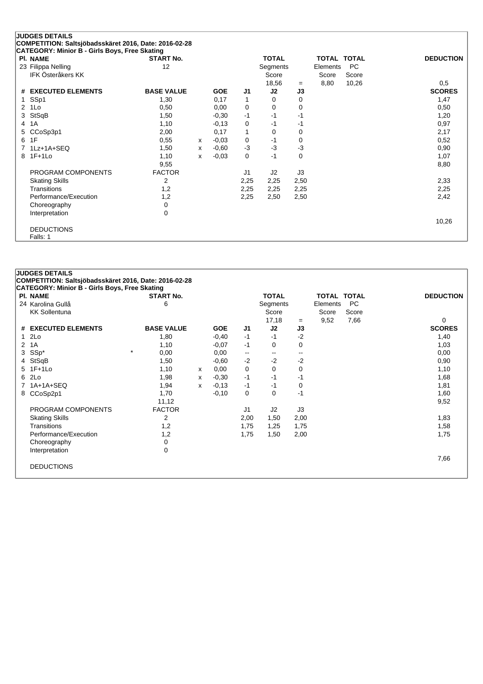|   | <b>JUDGES DETAILS</b><br>COMPETITION: Saltsjöbadsskäret 2016, Date: 2016-02-28 |                   |   |            |                |              |      |                    |           |                  |
|---|--------------------------------------------------------------------------------|-------------------|---|------------|----------------|--------------|------|--------------------|-----------|------------------|
|   | CATEGORY: Minior B - Girls Boys, Free Skating                                  |                   |   |            |                |              |      |                    |           |                  |
|   | <b>PI. NAME</b>                                                                | <b>START No.</b>  |   |            |                | <b>TOTAL</b> |      | <b>TOTAL TOTAL</b> |           | <b>DEDUCTION</b> |
|   | 23 Filippa Nelling                                                             | 12                |   |            |                | Segments     |      | Elements           | <b>PC</b> |                  |
|   | <b>IFK Österåkers KK</b>                                                       |                   |   |            |                | Score        |      | Score              | Score     |                  |
|   |                                                                                |                   |   |            |                | 18,56        | $=$  | 8,80               | 10,26     | 0,5              |
| # | <b>EXECUTED ELEMENTS</b>                                                       | <b>BASE VALUE</b> |   | <b>GOE</b> | J <sub>1</sub> | J2           | J3   |                    |           | <b>SCORES</b>    |
|   | SSp1                                                                           | 1,30              |   | 0,17       | 1              | 0            | 0    |                    |           | 1,47             |
| 2 | 1Lo                                                                            | 0,50              |   | 0,00       | 0              | 0            | 0    |                    |           | 0,50             |
| 3 | StSqB                                                                          | 1,50              |   | $-0,30$    | $-1$           | $-1$         | $-1$ |                    |           | 1,20             |
| 4 | 1A                                                                             | 1,10              |   | $-0,13$    | 0              | $-1$         | -1   |                    |           | 0,97             |
| 5 | CCoSp3p1                                                                       | 2,00              |   | 0,17       | 1              | 0            | 0    |                    |           | 2,17             |
| 6 | 1F                                                                             | 0,55              | x | $-0,03$    | 0              | $-1$         | 0    |                    |           | 0,52             |
|   | 1Lz+1A+SEQ                                                                     | 1,50              | x | $-0,60$    | $-3$           | $-3$         | $-3$ |                    |           | 0,90             |
| 8 | $1F+1Lo$                                                                       | 1,10              | x | $-0,03$    | $\mathbf 0$    | $-1$         | 0    |                    |           | 1,07             |
|   |                                                                                | 9,55              |   |            |                |              |      |                    |           | 8,80             |
|   | PROGRAM COMPONENTS                                                             | <b>FACTOR</b>     |   |            | J1             | J2           | J3   |                    |           |                  |
|   | <b>Skating Skills</b>                                                          | 2                 |   |            | 2,25           | 2,25         | 2,50 |                    |           | 2,33             |
|   | Transitions                                                                    | 1,2               |   |            | 2,25           | 2,25         | 2,25 |                    |           | 2,25             |
|   | Performance/Execution                                                          | 1,2               |   |            | 2,25           | 2,50         | 2,50 |                    |           | 2,42             |
|   | Choreography                                                                   | 0                 |   |            |                |              |      |                    |           |                  |
|   | Interpretation                                                                 | $\mathbf 0$       |   |            |                |              |      |                    |           |                  |
|   |                                                                                |                   |   |            |                |              |      |                    |           | 10,26            |
|   | <b>DEDUCTIONS</b>                                                              |                   |   |            |                |              |      |                    |           |                  |
|   | Falls: 1                                                                       |                   |   |            |                |              |      |                    |           |                  |

|                | <b>JUDGES DETAILS</b>                                 |                   |   |            |                |              |                          |                    |           |                  |
|----------------|-------------------------------------------------------|-------------------|---|------------|----------------|--------------|--------------------------|--------------------|-----------|------------------|
|                | COMPETITION: Saltsjöbadsskäret 2016, Date: 2016-02-28 |                   |   |            |                |              |                          |                    |           |                  |
|                | <b>CATEGORY: Minior B - Girls Boys, Free Skating</b>  |                   |   |            |                |              |                          |                    |           |                  |
|                | <b>PI. NAME</b>                                       | <b>START No.</b>  |   |            |                | <b>TOTAL</b> |                          | <b>TOTAL TOTAL</b> |           | <b>DEDUCTION</b> |
|                | 24 Karolina Gullå                                     | 6                 |   |            |                | Segments     |                          | Elements           | <b>PC</b> |                  |
|                | <b>KK Sollentuna</b>                                  |                   |   |            |                | Score        |                          | Score              | Score     |                  |
|                |                                                       |                   |   |            |                | 17,18        | $=$                      | 9,52               | 7,66      | 0                |
|                | # EXECUTED ELEMENTS                                   | <b>BASE VALUE</b> |   | <b>GOE</b> | J1             | J2           | J3                       |                    |           | <b>SCORES</b>    |
| $\mathbf{1}$   | 2Lo                                                   | 1,80              |   | $-0,40$    | $-1$           | $-1$         | $-2$                     |                    |           | 1,40             |
| $\overline{2}$ | 1A                                                    | 1,10              |   | $-0.07$    | $-1$           | 0            | 0                        |                    |           | 1,03             |
| 3              | SSp*                                                  | $\star$<br>0,00   |   | 0,00       | ۰.             | --           | $\overline{\phantom{a}}$ |                    |           | 0,00             |
|                | StSqB                                                 | 1,50              |   | $-0.60$    | $-2$           | $-2$         | $-2$                     |                    |           | 0,90             |
|                | 5 1F+1Lo                                              | 1,10              | x | 0,00       | 0              | 0            | 0                        |                    |           | 1,10             |
| 6              | 2Lo                                                   | 1,98              | х | $-0,30$    | $-1$           | $-1$         | -1                       |                    |           | 1,68             |
|                | $1A+1A+SEQ$                                           | 1,94              | x | $-0.13$    | $-1$           | $-1$         | 0                        |                    |           | 1,81             |
| 8              | CCoSp2p1                                              | 1,70              |   | $-0,10$    | 0              | 0            | $-1$                     |                    |           | 1,60             |
|                |                                                       | 11,12             |   |            |                |              |                          |                    |           | 9,52             |
|                | PROGRAM COMPONENTS                                    | <b>FACTOR</b>     |   |            | J <sub>1</sub> | J2           | J3                       |                    |           |                  |
|                | <b>Skating Skills</b>                                 | 2                 |   |            | 2,00           | 1,50         | 2,00                     |                    |           | 1,83             |
|                | Transitions                                           | 1,2               |   |            | 1,75           | 1,25         | 1,75                     |                    |           | 1,58             |
|                | Performance/Execution                                 | 1,2               |   |            | 1,75           | 1,50         | 2,00                     |                    |           | 1,75             |
|                | Choreography                                          | 0                 |   |            |                |              |                          |                    |           |                  |
|                | Interpretation                                        | 0                 |   |            |                |              |                          |                    |           |                  |
|                |                                                       |                   |   |            |                |              |                          |                    |           | 7,66             |
|                | <b>DEDUCTIONS</b>                                     |                   |   |            |                |              |                          |                    |           |                  |
|                |                                                       |                   |   |            |                |              |                          |                    |           |                  |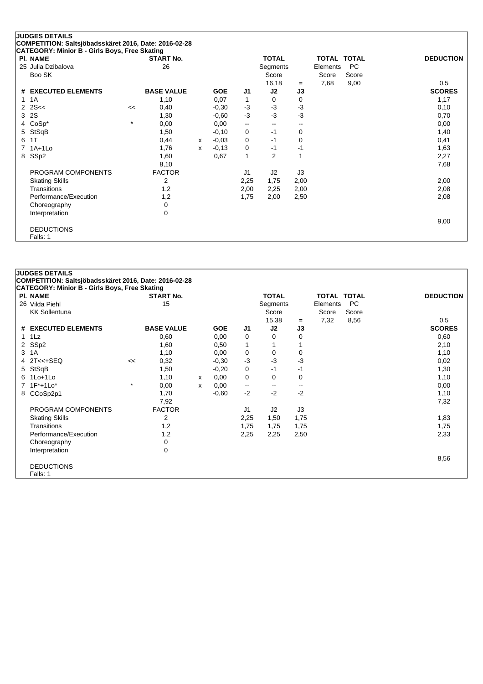| <b>JUDGES DETAILS</b><br>COMPETITION: Saltsjöbadsskäret 2016, Date: 2016-02-28 |                                               |         |                   |              |            |                          |                          |           |          |                    |                      |
|--------------------------------------------------------------------------------|-----------------------------------------------|---------|-------------------|--------------|------------|--------------------------|--------------------------|-----------|----------|--------------------|----------------------|
|                                                                                | CATEGORY: Minior B - Girls Boys, Free Skating |         |                   |              |            |                          |                          |           |          |                    |                      |
|                                                                                | <b>PI. NAME</b>                               |         | <b>START No.</b>  |              |            |                          | <b>TOTAL</b>             |           |          | <b>TOTAL TOTAL</b> | <b>DEDUCTION</b>     |
|                                                                                | 25 Julia Dzibalova                            |         | 26                |              |            |                          | Segments                 |           | Elements | <b>PC</b>          |                      |
|                                                                                | Boo SK                                        |         |                   |              |            |                          | Score                    |           | Score    | Score              |                      |
|                                                                                |                                               |         |                   |              |            |                          |                          |           |          |                    |                      |
|                                                                                | # EXECUTED ELEMENTS                           |         | <b>BASE VALUE</b> |              | <b>GOE</b> | J <sub>1</sub>           | 16,18<br>J2              | $=$<br>J3 | 7,68     | 9,00               | 0,5<br><b>SCORES</b> |
|                                                                                |                                               |         |                   |              |            |                          |                          |           |          |                    |                      |
| 1                                                                              | 1A                                            |         | 1,10              |              | 0,07       | 1                        | 0                        | 0         |          |                    | 1,17                 |
| $\mathbf{2}^{\circ}$                                                           | 2S<                                           | <<      | 0,40              |              | $-0,30$    | $-3$                     | $-3$                     | $-3$      |          |                    | 0,10                 |
| 3                                                                              | 2S                                            |         | 1,30              |              | $-0.60$    | $-3$                     | $-3$                     | $-3$      |          |                    | 0,70                 |
| 4                                                                              | $CoSp*$                                       | $\star$ | 0,00              |              | 0,00       | $\overline{\phantom{a}}$ | $\overline{\phantom{a}}$ | --        |          |                    | 0,00                 |
| 5                                                                              | StSqB                                         |         | 1,50              |              | $-0,10$    | 0                        | $-1$                     | 0         |          |                    | 1,40                 |
| 6                                                                              | 1T                                            |         | 0,44              | $\mathsf{x}$ | $-0.03$    | 0                        | $-1$                     | 0         |          |                    | 0,41                 |
|                                                                                | $1A+1Lo$                                      |         | 1,76              | $\mathsf{x}$ | $-0,13$    | 0                        | $-1$                     | $-1$      |          |                    | 1,63                 |
| 8                                                                              | SSp2                                          |         | 1,60              |              | 0,67       | $\mathbf{1}$             | $\overline{2}$           | 1         |          |                    | 2,27                 |
|                                                                                |                                               |         | 8,10              |              |            |                          |                          |           |          |                    | 7,68                 |
|                                                                                | PROGRAM COMPONENTS                            |         | <b>FACTOR</b>     |              |            | J <sub>1</sub>           | J2                       | J3        |          |                    |                      |
|                                                                                | <b>Skating Skills</b>                         |         | 2                 |              |            | 2,25                     | 1,75                     | 2,00      |          |                    | 2,00                 |
|                                                                                | Transitions                                   |         | 1,2               |              |            | 2,00                     | 2,25                     | 2,00      |          |                    | 2,08                 |
|                                                                                | Performance/Execution                         |         | 1,2               |              |            | 1,75                     | 2,00                     | 2,50      |          |                    | 2,08                 |
|                                                                                | Choreography                                  |         | 0                 |              |            |                          |                          |           |          |                    |                      |
|                                                                                |                                               |         | 0                 |              |            |                          |                          |           |          |                    |                      |
|                                                                                | Interpretation                                |         |                   |              |            |                          |                          |           |          |                    |                      |
|                                                                                |                                               |         |                   |              |            |                          |                          |           |          |                    | 9,00                 |
|                                                                                | <b>DEDUCTIONS</b>                             |         |                   |              |            |                          |                          |           |          |                    |                      |
|                                                                                | Falls: 1                                      |         |                   |              |            |                          |                          |           |          |                    |                      |

| <b>JUDGES DETAILS</b> |                                                       |         |                   |   |            |                          |                |                          |                    |           |                  |  |
|-----------------------|-------------------------------------------------------|---------|-------------------|---|------------|--------------------------|----------------|--------------------------|--------------------|-----------|------------------|--|
|                       | COMPETITION: Saltsjöbadsskäret 2016, Date: 2016-02-28 |         |                   |   |            |                          |                |                          |                    |           |                  |  |
|                       | CATEGORY: Minior B - Girls Boys, Free Skating         |         |                   |   |            |                          |                |                          |                    |           |                  |  |
|                       | <b>PI. NAME</b>                                       |         | <b>START No.</b>  |   |            |                          | <b>TOTAL</b>   |                          | <b>TOTAL TOTAL</b> |           | <b>DEDUCTION</b> |  |
|                       | 26 Vilda Piehl                                        |         | 15                |   |            |                          | Segments       |                          | Elements           | <b>PC</b> |                  |  |
|                       | <b>KK Sollentuna</b>                                  |         |                   |   |            |                          | Score          |                          | Score              | Score     |                  |  |
|                       |                                                       |         |                   |   |            |                          | 15,38          | $=$                      | 7,32               | 8,56      | 0.5              |  |
|                       | # EXECUTED ELEMENTS                                   |         | <b>BASE VALUE</b> |   | <b>GOE</b> | J1                       | J2             | J3                       |                    |           | <b>SCORES</b>    |  |
| $\mathbf{1}$          | 1Lz                                                   |         | 0,60              |   | 0,00       | 0                        | 0              | 0                        |                    |           | 0,60             |  |
|                       | 2 SSp2                                                |         | 1,60              |   | 0,50       | 1                        |                |                          |                    |           | 2,10             |  |
| 3                     | 1A                                                    |         | 1,10              |   | 0,00       | 0                        | 0              | 0                        |                    |           | 1,10             |  |
|                       | 4 2T<<+SEQ                                            | <<      | 0,32              |   | $-0.30$    | $-3$                     | $-3$           | $-3$                     |                    |           | 0,02             |  |
| 5                     | StSqB                                                 |         | 1,50              |   | $-0,20$    | 0                        | $-1$           | $-1$                     |                    |           | 1,30             |  |
|                       | $6$ 1 Lo+1 Lo                                         |         | 1,10              | x | 0,00       | 0                        | 0              | 0                        |                    |           | 1,10             |  |
|                       | 7 1F*+1Lo*                                            | $\star$ | 0,00              | X | 0,00       | $\overline{\phantom{a}}$ | --             | $\overline{\phantom{m}}$ |                    |           | 0,00             |  |
|                       | 8 CCoSp2p1                                            |         | 1,70              |   | $-0.60$    | $-2$                     | $-2$           | $-2$                     |                    |           | 1,10             |  |
|                       |                                                       |         | 7,92              |   |            |                          |                |                          |                    |           | 7,32             |  |
|                       | PROGRAM COMPONENTS                                    |         | <b>FACTOR</b>     |   |            | J1                       | J <sub>2</sub> | J3                       |                    |           |                  |  |
|                       | <b>Skating Skills</b>                                 |         | 2                 |   |            | 2,25                     | 1,50           | 1,75                     |                    |           | 1,83             |  |
|                       | Transitions                                           |         | 1,2               |   |            | 1,75                     | 1,75           | 1,75                     |                    |           | 1,75             |  |
|                       | Performance/Execution                                 |         | 1,2               |   |            | 2,25                     | 2,25           | 2,50                     |                    |           | 2,33             |  |
|                       | Choreography                                          |         | 0                 |   |            |                          |                |                          |                    |           |                  |  |
|                       | Interpretation                                        |         | 0                 |   |            |                          |                |                          |                    |           |                  |  |
|                       |                                                       |         |                   |   |            |                          |                |                          |                    |           | 8,56             |  |
|                       | <b>DEDUCTIONS</b>                                     |         |                   |   |            |                          |                |                          |                    |           |                  |  |
|                       | Falls: 1                                              |         |                   |   |            |                          |                |                          |                    |           |                  |  |
|                       |                                                       |         |                   |   |            |                          |                |                          |                    |           |                  |  |